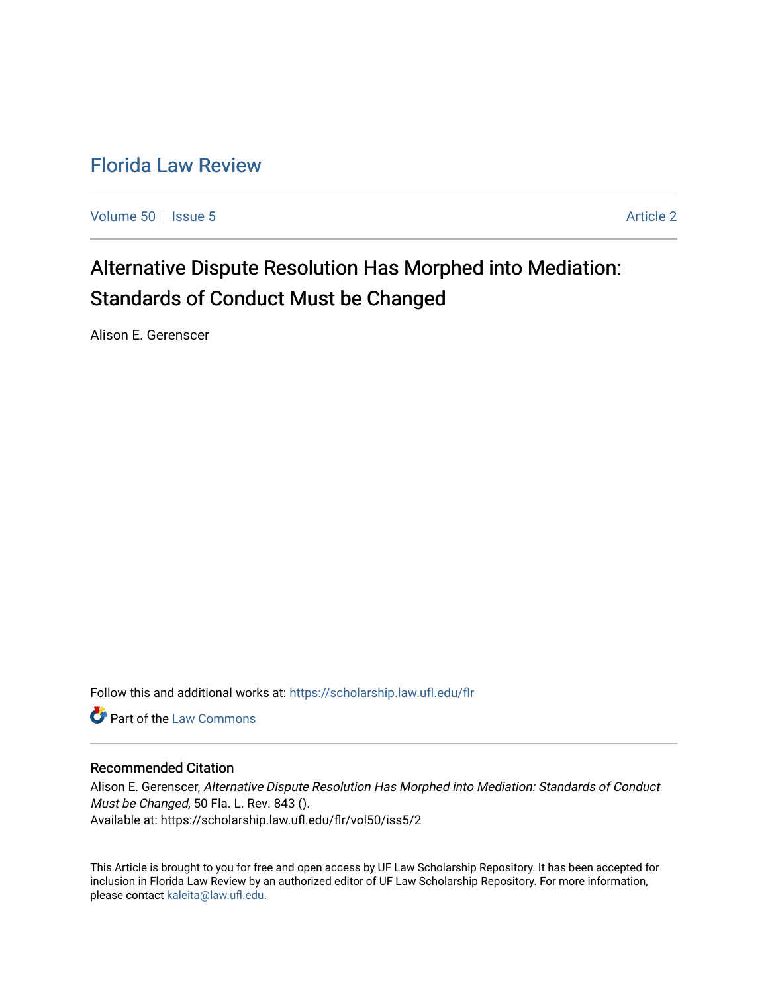# [Florida Law Review](https://scholarship.law.ufl.edu/flr)

[Volume 50](https://scholarship.law.ufl.edu/flr/vol50) | [Issue 5](https://scholarship.law.ufl.edu/flr/vol50/iss5) Article 2

# Alternative Dispute Resolution Has Morphed into Mediation: Standards of Conduct Must be Changed

Alison E. Gerenscer

Follow this and additional works at: [https://scholarship.law.ufl.edu/flr](https://scholarship.law.ufl.edu/flr?utm_source=scholarship.law.ufl.edu%2Fflr%2Fvol50%2Fiss5%2F2&utm_medium=PDF&utm_campaign=PDFCoverPages)

**C** Part of the [Law Commons](http://network.bepress.com/hgg/discipline/578?utm_source=scholarship.law.ufl.edu%2Fflr%2Fvol50%2Fiss5%2F2&utm_medium=PDF&utm_campaign=PDFCoverPages)

## Recommended Citation

Alison E. Gerenscer, Alternative Dispute Resolution Has Morphed into Mediation: Standards of Conduct Must be Changed, 50 Fla. L. Rev. 843 (). Available at: https://scholarship.law.ufl.edu/flr/vol50/iss5/2

This Article is brought to you for free and open access by UF Law Scholarship Repository. It has been accepted for inclusion in Florida Law Review by an authorized editor of UF Law Scholarship Repository. For more information, please contact [kaleita@law.ufl.edu](mailto:kaleita@law.ufl.edu).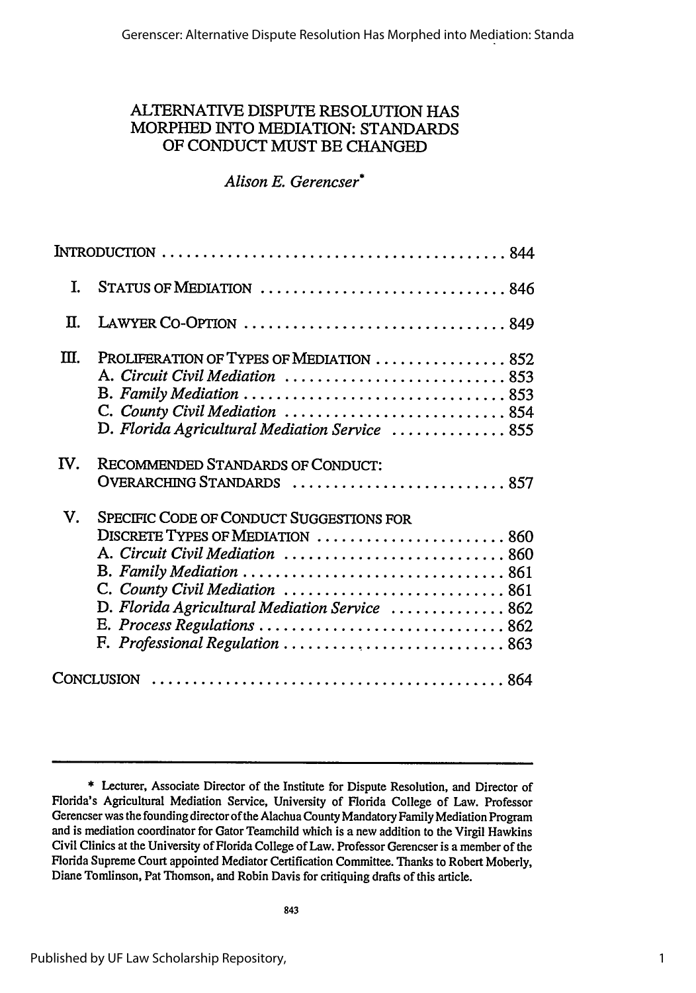# ALTERNATIVE DISPUTE RESOLUTION HAS MORPHED INTO MEDIATION: STANDARDS OF CONDUCT MUST BE CHANGED

# *Alison E. Gerencser\**

| T.  | STATUS OF MEDIATION 846                                                                                                                                                                                                                                               |
|-----|-----------------------------------------------------------------------------------------------------------------------------------------------------------------------------------------------------------------------------------------------------------------------|
| П.  |                                                                                                                                                                                                                                                                       |
| Ш.  | PROLIFERATION OF TYPES OF MEDIATION  852<br>A. Circuit Civil Mediation  853<br>C. County Civil Mediation  854<br>D. Florida Agricultural Mediation Service  855                                                                                                       |
| IV. | RECOMMENDED STANDARDS OF CONDUCT:<br>OVERARCHING STANDARDS  857                                                                                                                                                                                                       |
| V.  | SPECIFIC CODE OF CONDUCT SUGGESTIONS FOR<br>DISCRETE TYPES OF MEDIATION  860<br>A. Circuit Civil Mediation  860<br>C. County Civil Mediation  861<br>D. Florida Agricultural Mediation Service  862<br>E. Process Regulations  862<br>F. Professional Regulation  863 |
|     |                                                                                                                                                                                                                                                                       |

<sup>\*</sup> Lecturer, Associate Director of the Institute for Dispute Resolution, and Director of Florida's Agricultural Mediation Service, University of Florida College of Law. Professor Gerencser was the founding director of the Alachua County Mandatory Family Mediation Program and is mediation coordinator for Gator Teamchild which is a new addition to the Virgil Hawkins Civil Clinics at the University of Florida College of Law. Professor Gerencser is a member of the Florida Supreme Court appointed Mediator Certification Committee. Thanks to Robert Moberly, Diane Tomlinson, Pat Thomson, and Robin Davis for critiquing drafts of this article.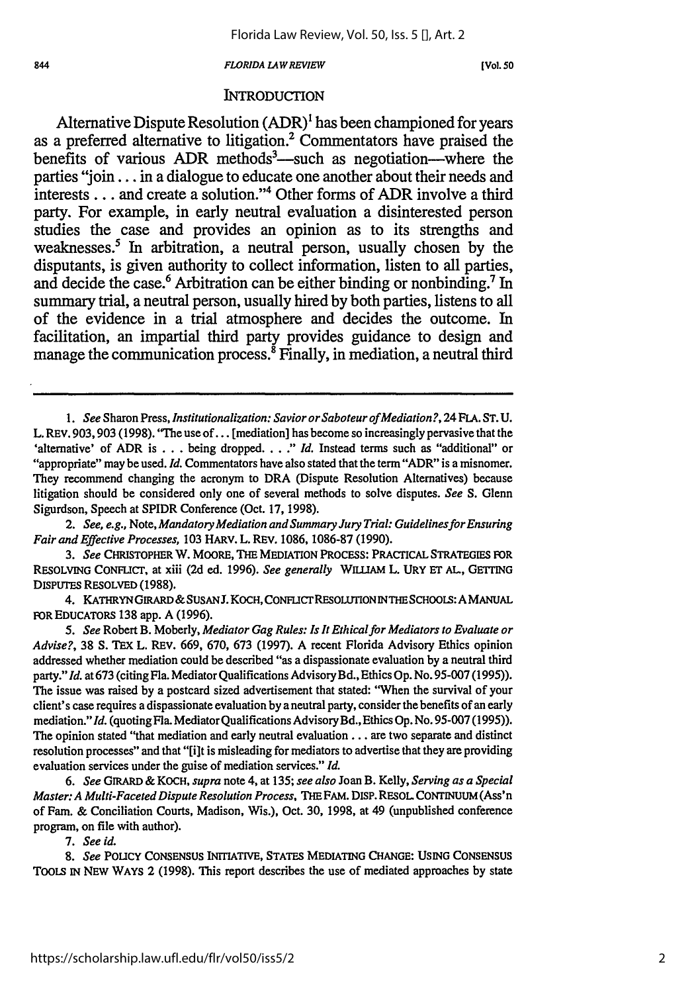#### *FLORIDA LAW REVIEW*

**[Vol.** *50*

## **INTRODUCTION**

Alternative Dispute Resolution  $(ADR)^1$  has been championed for years as a preferred alternative to litigation.2 Commentators have praised the benefits of various ADR methods<sup>3</sup>—such as negotiation—where the parties **"join...** in a dialogue to educate one another about their needs and interests **...** and create a solution."4 Other forms of ADR involve a third party. For example, in early neutral evaluation a disinterested person studies the case and provides an opinion as to its strengths and weaknesses.5 In arbitration, a neutral person, usually chosen **by** the disputants, is given authority to collect information, listen to all parties, and decide the case.<sup>6</sup> Arbitration can be either binding or nonbinding.<sup>7</sup> In summary trial, a neutral person, usually hired **by** both parties, listens to all of the evidence in a trial atmosphere and decides the outcome. In facilitation, an impartial third party provides guidance to design and manage the communication process.<sup>8</sup> Finally, in mediation, a neutral third

*1. See* Sharon Press, *Institutionalization: SaviororSaboteurofMediation?,* 24 *FLA.* ST. U. L. REV. 903, 903 (1998). "The use of... [mediation] has become so increasingly pervasive that the 'alternative' of ADR is . . . being dropped. . . ." Id. Instead terms such as "additional" or "appropriate" may be used. *Id.* Commentators have also stated that the term "ADR" is a misnomer. They recommend changing the acronym to DRA (Dispute Resolution Alternatives) because litigation should be considered only one of several methods to solve disputes. *See S.* Glenn Sigurdson, Speech at SPIDR Conference (Oct. 17, 1998).

*2. See, e.g., Note, Mandatory Mediation and Summary Jury Trial: GuidelinesforEnsuring Fair and Effective Processes,* 103 HARV. L. REV. 1086, 1086-87 (1990).

*3. See* CHRISTOPHER W. MOORE, THE MEDIATION PROCESS: PRACTICAL STRATEGIES FOR RESOLVING CONFLICT, at xiii **(2d** ed. 1996). *See generally* WILLIAM L. URY **ET** AL, GETrING **DISPUTES** RESOLVED (1988).

4. KATHRYN GIRARD & SUSAN J. KOCH, CONFLICT RESOLUTION IN THE SCHOOLS: A MANUAL FOR EDUCATORS 138 app. A (1996).

*5. See* Robert B. Moberly, *Mediator Gag Rules: Is It Ethicalfor Mediators to Evaluate or Advise?,* 38 **S.** TEx L. REV. 669, 670, 673 (1997). A recent Florida Advisory Ethics opinion addressed whether mediation could be described "as a dispassionate evaluation by a neutral third party."Id. at 673 (citing Fla. Mediator Qualifications Advisory Bd., Ethics Op. No. 95-007 (1995)). The issue was raised by a postcard sized advertisement that stated: "When the survival of your client's case requires a dispassionate evaluation by a neutral party, consider the benefits of an early mediation." Id. (quoting Fla. Mediator Qualifications Advisory Bd., Ethics Op. No. 95-007 (1995)). The opinion stated "that mediation and early neutral evaluation... are two separate and distinct resolution processes" and that "[i]t is misleading for mediators to advertise that they are providing evaluation services under the guise of mediation services." *Id.*

*6. See* GIRARD & KOCH, *supra* note 4, at 135; *see also* Joan B. Kelly, *Serving as a Special Master: A Multi-Faceted Dispute Resolution Process,* THE FAM. DISP. RESOL CONTINUUM (Ass'n of Fam. & Conciliation Courts, Madison, Wis.), Oct. 30, 1998, at 49 (unpublished conference program, on file with author).

*7. See id.*

*8. See* POLICY CONSENSUS INITIATIVE, STATES MEDIATING CHANGE: USING CONSENSUS ToOts IN NEW WAYS 2 (1998). This report describes the use of mediated approaches **by** state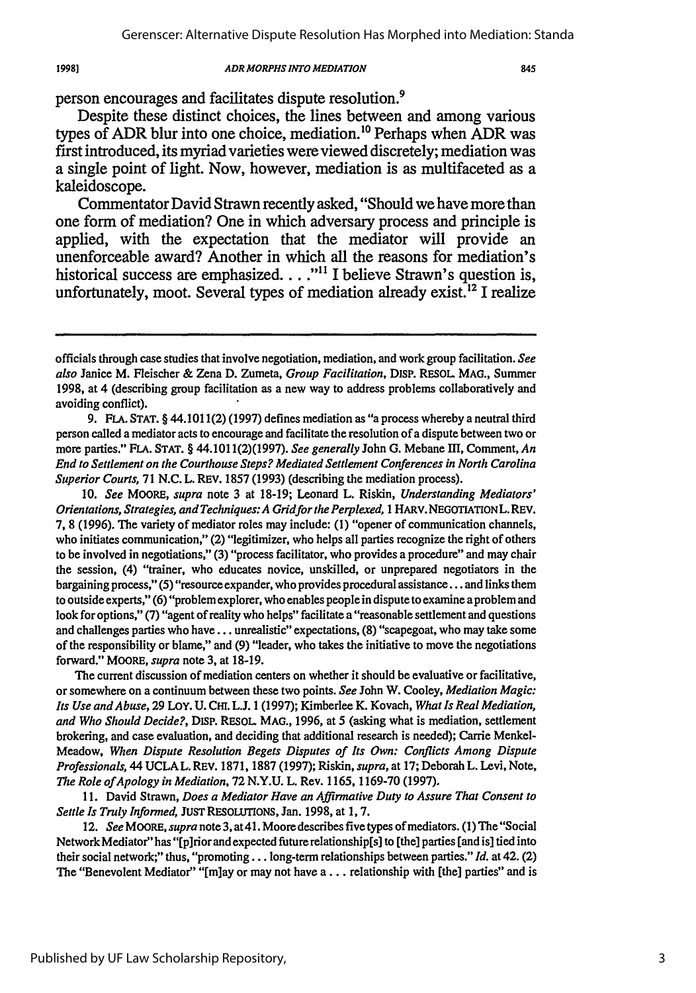19981

### *ADR MORPHS INTO MEDIATION*

person encourages and facilitates dispute resolution.9

Despite these distinct choices, the lines between and among various types of ADR blur into one choice, mediation.<sup>10</sup> Perhaps when ADR was first introduced, its myriad varieties were viewed discretely; mediation was a single point of light. Now, however, mediation is as multifaceted as a kaleidoscope.

Commentator David Strawn recently asked, "Should we have more than one form of mediation? One in which adversary process and principle is applied, with the expectation that the mediator will provide an unenforceable award? Another in which all the reasons for mediation's historical success are emphasized... **.""** I believe Strawn's question is, unfortunately, moot. Several types of mediation already exist.<sup>12</sup> I realize

10. See *MOORE,* supra note 3 at 18-19; Leonard L. Riskin, Understanding Mediators' Orientations, Strategies, and Techniques: A Gridforthe Perplexed, *I* HARv. NEGoTIATIONL.REV. 7, 8 (1996). The variety of mediator roles may include: (1) "opener of communication channels, who initiates communication," (2) "legitimizer, who helps all parties recognize the right of others to be involved in negotiations," (3) "process facilitator, who provides a procedure" and may chair the session, (4) "trainer, who educates novice, unskilled, or unprepared negotiators in the bargaining process," (5) "resource expander, who provides procedural assistance **...** and links them to outside experts," (6) "problem explorer, who enables people in dispute to examine a problem and look for options," (7) "agent of reality who helps" facilitate a "reasonable settlement and questions and challenges parties who have.., unrealistic" expectations, (8) "scapegoat, who may take some of the responsibility or blame," and (9) "leader, who takes the initiative to move the negotiations forward." MOORE, supra note 3, at 18-19.

The current discussion of mediation centers on whether it should be evaluative or facilitative, or somewhere on a continuum between these two points. See John W. Cooley, Mediation Magic: Its Use andAbuse, 29 LOY. U. **CHI.** L.J. 1 (1997); Kimberlee K. Kovach, What Is Real Mediation, and Who Should Decide?, DISP. RESOL. MAO., 1996, at 5 (asking what is mediation, settlement brokering, and case evaluation, and deciding that additional research is needed); Carrie Menkel-Meadow, When Dispute Resolution Begets Disputes of Its Own: Conflicts Among Dispute Professionals, 44 UCLA L. REV. 1871, 1887 (1997); Riskin, supra, at 17; Deborah L. Levi, Note, The Role of Apology in Mediation, 72 N.Y.U. L. Rev. 1165, 1169-70 (1997).

11. David Strawn, Does a Mediator Have an Affirmative Duty to Assure That Consent to Settle Is Truly Informed, JUST RESOLUTIONS, Jan. 1998, at 1, 7.

*12.* See *MOORE,* supra note 3, at4l. Moore describes five types of mediators. (1) The "Social Network Mediator" has "[p]rior and expected future relationship[s] to [the] parties [and is] tied into their social network;" thus, "promoting... long-term relationships between parties." Id. at 42. (2) The "Benevolent Mediator" "[m]ay or may not have a... relationship with [the] parties" and is

officials through case studies that involve negotiation, mediation, and work group facilitation. See also Janice M. Fleischer & Zena D. Zumeta, Group Facilitation, DISP. RESOL. MAG., Summer 1998, at 4 (describing group facilitation as a new way to address problems collaboratively and avoiding conflict).

<sup>9.</sup> FLA. STAT. § 44.1011(2) (1997) defines mediation as "a process whereby a neutral third person called a mediator acts to encourage and facilitate the resolution of a dispute between two or more parties." FLA. STAT. § 44.1011(2)(1997). See generally John G. Mebane III, Comment, An End to Settlement on the Courthouse Steps? Mediated Settlement Conferences in North Carolina Superior Courts, 71 **N.C.** L. REV. 1857 (1993) (describing the mediation process).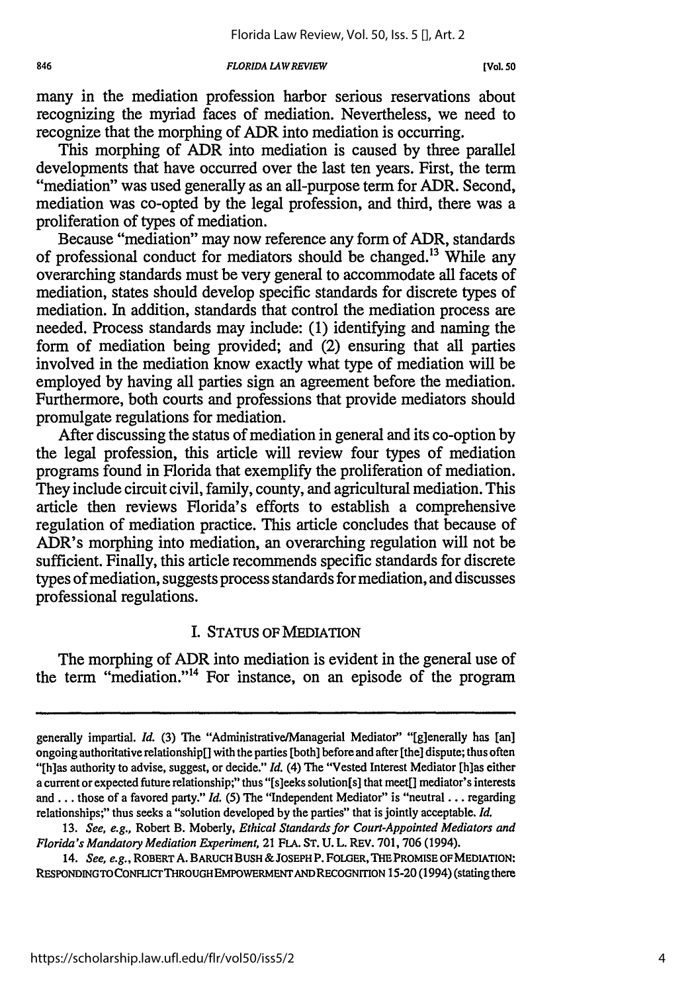#### *FLORIDA LAW REVIEW*

846

many in the mediation profession harbor serious reservations about recognizing the myriad faces of mediation. Nevertheless, we need to recognize that the morphing of ADR into mediation is occurring.

This morphing of ADR into mediation is caused by three parallel developments that have occurred over the last ten years. First, the term "mediation" was used generally as an all-purpose term for ADR. Second, mediation was co-opted by the legal profession, and third, there was a proliferation of types of mediation.

Because "mediation" may now reference any form of ADR, standards of professional conduct for mediators should be changed.<sup>13</sup> While any overarching standards must be very general to accommodate all facets of mediation, states should develop specific standards for discrete types of mediation. In addition, standards that control the mediation process are needed. Process standards may include: (1) identifying and naming the form of mediation being provided; and (2) ensuring that all parties involved in the mediation know exactly what type of mediation will be employed by having all parties sign an agreement before the mediation. Furthermore, both courts and professions that provide mediators should promulgate regulations for mediation.

After discussing the status of mediation in general and its co-option by the legal profession, this article will review four types of mediation programs found in Florida that exemplify the proliferation of mediation. They include circuit civil, family, county, and agricultural mediation. This article then reviews Florida's efforts to establish a comprehensive regulation of mediation practice. This article concludes that because of ADR's morphing into mediation, an overarching regulation will not be sufficient. Finally, this article recommends specific standards for discrete types of mediation, suggests process standards for mediation, and discusses professional regulations.

# I. STATUS OF MEDIATION

The morphing of ADR into mediation is evident in the general use of the term "mediation."<sup>14</sup> For instance, on an episode of the program

generally impartial. *Id.* (3) The "Administrative/Managerial Mediator" "[g]enerally has [an] ongoing authoritative relationship[] with the parties [both] before and after [the] dispute; thus often "[h]as authority to advise, suggest, or decide." *Id.* (4) The "Vested Interest Mediator [h]as either a current or expected future relationship;" thus "[s]eeks solution[s] that meet[] mediator's interests and **...** those of a favored party." *Id.* **(5)** The "Independent Mediator" is "neutral ... regarding relationships;" thus seeks a "solution developed by the parties" that is jointly acceptable. *Id.*

<sup>13.</sup> *See, e.g.,* Robert B. Moberly, *Ethical Standards for Court-Appointed Mediators and Florida's Mandatory Mediation Experiment,* 21 **FLA. ST.** U. L. REV. 701, 706 (1994).

<sup>14.</sup> *See, e.g.,* **ROBERTA. BARUCH BUSH** *&* **JOSEPH** P. FOLGER, **THE** PROMISE **OF MEDIATION:** RESPONDING TO CONFLICT THROUGH EMPOWERMENT AND RECOGNITION 15-20 (1994) (stating there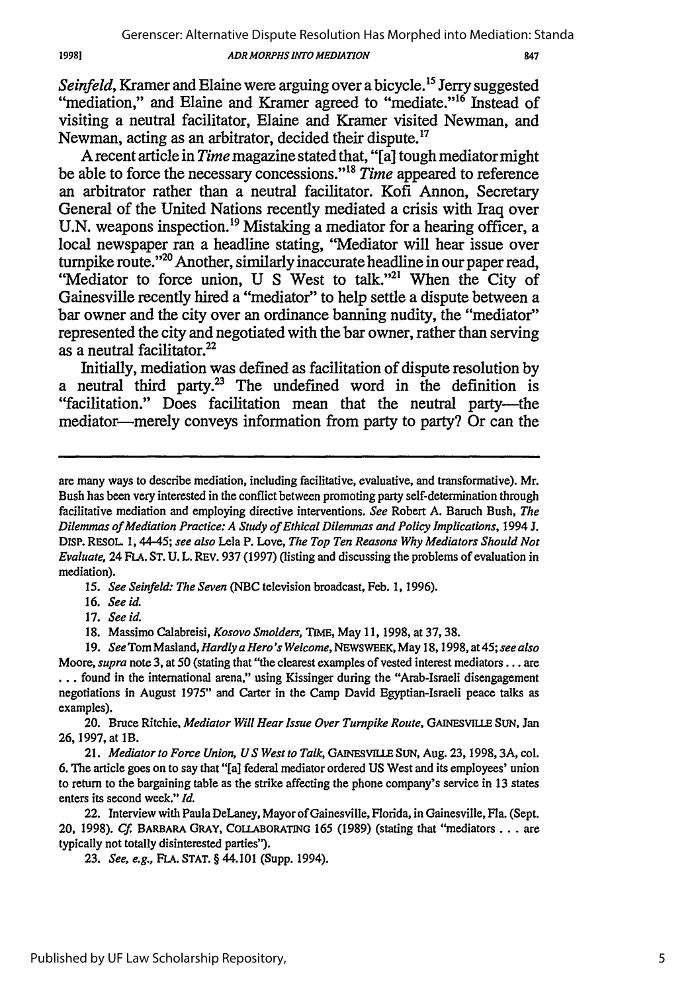847

*Seinfeld,* Kramer and Elaine were arguing over a bicycle. **"** Jerry suggested "mediation," and Elaine and Kramer agreed to "mediate."<sup>16</sup> Instead of visiting a neutral facilitator, Elaine and Kramer visited Newman, and Newman, acting as an arbitrator, decided their dispute.<sup>17</sup>

**A** recent article in *Time* magazine stated that, "[a] tough mediator might be able to force the necessary concessions."<sup>18</sup> Time appeared to reference an arbitrator rather than a neutral facilitator. Kofi Annon, Secretary General of the United Nations recently mediated a crisis with Iraq over U.N. weapons inspection.<sup>19</sup> Mistaking a mediator for a hearing officer, a local newspaper ran a headline stating, "Mediator will hear issue over turnpike route."<sup>20</sup> Another, similarly inaccurate headline in our paper read, "Mediator to force union, U S West to talk."<sup>21</sup> When the City of Gainesville recently hired a "mediator" to help settle a dispute between a bar owner and the city over an ordinance banning nudity, the "mediator" represented the city and negotiated with the bar owner, rather than serving as a neutral facilitator.<sup>22</sup>

Initially, mediation was defined as facilitation of dispute resolution **by** a neutral third party.<sup>23</sup> The undefined word in the definition is "facilitation." Does facilitation mean that the neutral party-the mediator—merely conveys information from party to party? Or can the

*15. See Seinfeld: The Seven* **(NBC** television broadcast, Feb. 1, 1996).

16. *See id.*

17. *See id.*

18. Massimo Calabreisi, *Kosovo Smolders,* TIME, May 11, 1998, at 37, 38.

20. Bruce Ritchie, *Mediator Will Hear Issue Over Turnpike Route, GAINESVILLE* **SUN, Jan** 26, 1997, at lB.

21. *Mediator to Force Union, US West to Talk,* **GAINSVIU.E** SUN, Aug. **23,** 1998, 3A, col. 6. The article goes on to say that "[a] federal mediator ordered US West and its employees' union to return to the bargaining table as the strike affecting the phone company's service in **13** states enters its second week." *Id.*

22. Interview with Paula DeLaney, Mayor of Gainesville, Florida, in Gainesville, Fla. (Sept. 20, 1998). *Cf.* **BARBARA** GRAY, **COLLABORATING** 165 (1989) (stating that "mediators ... are typically not totally disinterested parties").

**23.** *See, e.g.,* **FLA. STAT.** § 44.101 (Supp. 1994).

19981

are many ways to describe mediation, including facilitative, evaluative, and transformative). Mr. Bush has been very interested in the conflict between promoting party self-determination through facilitative mediation and employing directive interventions. *See* Robert A. Baruch Bush, *The Dilemmas of Mediation Practice: A Study of Ethical Dilemmas and Policy Implications,* 1994 **J.** DISP. RESOL **1,** 44-45; *see also* Lela P. Love, *The Top Ten Reasons Why Mediators Should Not Evaluate,* 24 **FLA. ST. U.** L. REV. 937 (1997) (listing and discussing the problems of evaluation in mediation).

*<sup>19.</sup> See* Tom Masland, *Hardly a Hero's Welcome,* NEWSWEEK, May 18,1998, at45; *see also* Moore, *supra* note 3, at 50 (stating that "the clearest examples of vested interest mediators... are **...** found in the international arena," using Kissinger during the "Arab-Israeli disengagement negotiations in August 1975" and Carter in the Camp David Egyptian-Israeli peace talks as examples).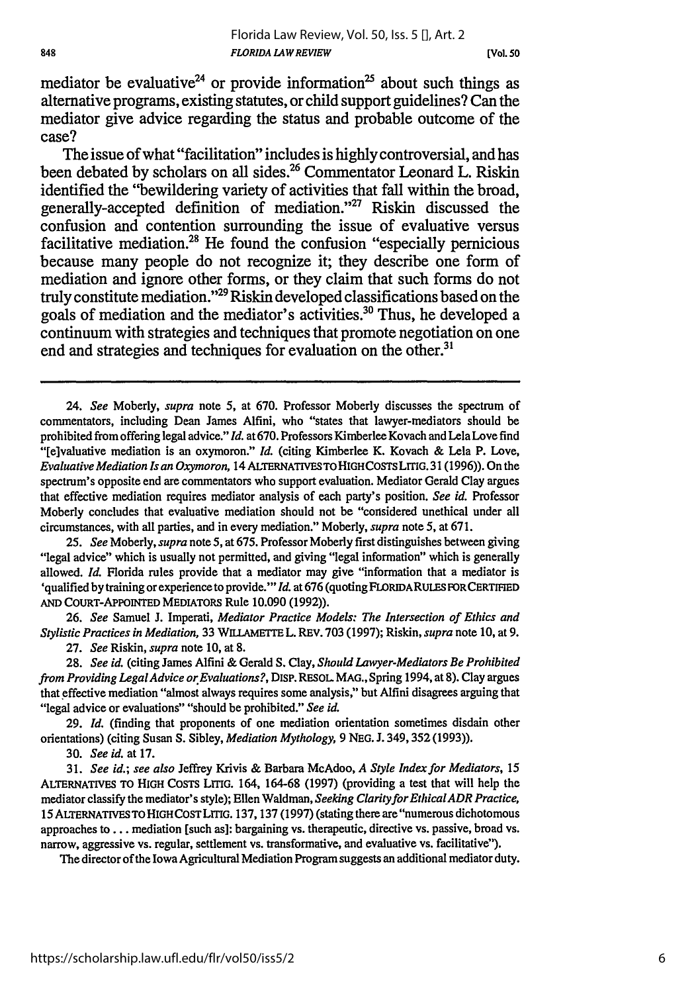## *FLORIDA LAWREVIEW* Florida Law Review, Vol. 50, Iss. 5 [], Art. 2

mediator be evaluative<sup>24</sup> or provide information<sup>25</sup> about such things as alternative programs, existing statutes, or child support guidelines? Can the mediator give advice regarding the status and probable outcome of the case?

The issue of what "facilitation" includes is highly controversial, and has been debated by scholars on all sides.<sup>26</sup> Commentator Leonard L. Riskin identified the "bewildering variety of activities that fall within the broad, generally-accepted definition of mediation."<sup>27</sup> Riskin discussed the confusion and contention surrounding the issue of evaluative versus facilitative mediation.28 He found the confusion "especially pernicious because many people do not recognize it; they describe one form of mediation and ignore other forms, or they claim that such forms do not truly constitute mediation."<sup>29</sup> Riskin developed classifications based on the goals of mediation and the mediator's activities." Thus, he developed a continuum with strategies and techniques that promote negotiation on one end and strategies and techniques for evaluation on the other.<sup>31</sup>

25. *See Moberly, supra note 5,* at **675.** Professor Moberly first distinguishes between giving "legal advice" which is usually not permitted, and giving "legal information" which is generally allowed. *Id.* Florida rules provide that a mediator may give "information that a mediator is 'qualified by training or experience to provide."" Id. at 676 (quoting FLORIDA RULES FOR CERTIFIED **AND** COURT-APPOINTED MEDIATORS Rule **10.090 (1992)).**

**26.** *See* Samuel **J.** Imperati, *Mediator Practice Models: The Intersection of Ethics and Stylistic Practices in Mediation,* **33** WIELAMETrE L. REV. **703 (1997);** Riskin, *supra* note **10,** at **9.**

**27.** *See* Riskin, *supra* note **10,** at **8.**

**28.** *See id.* (citing James Alfini & Gerald **S.** Clay, *Should Lawyer-Mediators Be Prohibited from Providing LegalAdvice orEvaluations?,* DISP. RESOL **MAG.,** Spring 1994, at **8).** Clay argues that effective mediation "almost always requires some analysis," but Alfini disagrees arguing that "legal advice or evaluations" "should be prohibited." *See id.*

**29.** *Id.* (finding that proponents of one mediation orientation sometimes disdain other orientations) (citing Susan **S.** Sibley, *Mediation Mythology,* **9 NEG. J.** 349, **352 (1993)).**

**30.** *See id.* at **17.**

**31.** *See id.; see also* Jeffrey Krivis & Barbara McAdoo, *A Style Index for Mediators,* **15** ALTERNATIVES TO HIGH COSTS LITIG. 164, **164-68 (1997)** (providing a test that will help the mediator classify the mediator's style); Ellen Waldman, *Seeking ClarityforEthicalADR Practice,* 15 ALTERNATIVES TO **HIGH COST LITIG. 137, 137 (1997)** (stating there are "numerous dichotomous approaches to **...** mediation [such as]: bargaining vs. therapeutic, directive vs. passive, broad vs. narrow, aggressive vs. regular, settlement vs. transformative, and evaluative vs. facilitative").

The director of the Iowa Agricultural Mediation Program suggests an additional mediator duty.

<sup>24.</sup> *See* Moberly, *supra* note **5,** at **670.** Professor Moberly discusses the spectrum of commentators, including Dean James Alfini, who "states that lawyer-mediators should be prohibited from offering legal advice." *Id.* at 670. Professors Kimberlee Kovach and Lela Love find "[e]valuative mediation is an oxymoron." *Id.* (citing Kimberlee K. Kovach & Lela P. Love, *Evaluative Mediation Is an Oxymoron,* 14 ALTERNATIVESTOHIGHCOSTSLITIG. 31(1996)). On the spectrum's opposite end are commentators who support evaluation. Mediator Gerald Clay argues that effective mediation requires mediator analysis of each party's position. *See id.* Professor Moberly concludes that evaluative mediation should not be "considered unethical under all circumstances, with all parties, and in every mediation." Moberly, *supra* note **5,** at **671.**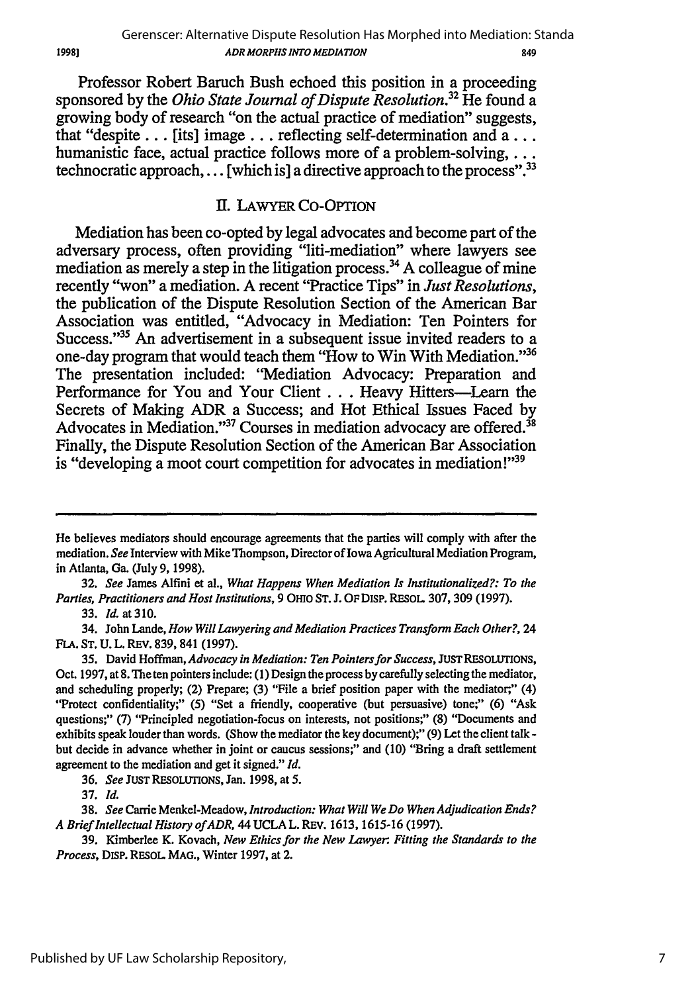Professor Robert Baruch Bush echoed this position in a proceeding sponsored **by** the *Ohio State Journal of Dispute Resolution.32* He found a growing body of research "on the actual practice of mediation" suggests, that "despite... [its] image... reflecting self-determination and **a...** humanistic face, actual practice follows more of a problem-solving, ... technocratic approach,... [which is] a directive approach to the process".<sup>33</sup>

# **I.** LAWYER Co-OPTION

Mediation has been co-opted **by** legal advocates and become part of the adversary process, often providing "liti-mediation" where lawyers see mediation as merely a step in the litigation process.34 **A** colleague of mine recently "won" a mediation. **A** recent "Practice Tips" in *Just Resolutions,* the publication of the Dispute Resolution Section of the American Bar Association was entitled, "Advocacy in Mediation: Ten Pointers for Success."<sup>35</sup> An advertisement in a subsequent issue invited readers to a one-day program that would teach them "How to Win With Mediation."<sup>36</sup> The presentation included: "Mediation Advocacy: Preparation and Performance for You and Your Client . . . Heavy Hitters-Learn the Secrets of Making ADR a Success; and Hot Ethical Issues Faced **by** Advocates in Mediation."<sup>37</sup> Courses in mediation advocacy are offered.<sup>38</sup> Finally, the Dispute Resolution Section of the American Bar Association is "developing a moot court competition for advocates in mediation!" $39$ 

32. *See* James Alfini et al., *What Happens When Mediation Is Institutionalized?: To the Parties, Practitioners and Host Institutions,* 9 OHIO **ST.** J. OFDisp. RESoL 307, 309 (1997).

33. *Id.* at **310.**

34. John Lande, *How Will Lawyering and Mediation Practices Transform Each Other?,* 24 FLA. ST. U. L. REv. 839, 841 (1997).

He believes mediators should encourage agreements that the parties will comply with after the mediation. *See* Interview with Mike Thompson, Director of Iowa Agricultural Mediation Program, in Atlanta, Ga. (July 9, 1998).

**<sup>35.</sup>** David Hoffman, *Advocacy in Mediation: Ten Pointersfor Success,* JUSTRESOLUTIONS, Oct. 1997, at 8. The ten pointers include: (1) Design the process **by** carefully selecting the mediator, and scheduling properly; (2) Prepare; (3) "File a brief position paper with the mediator," (4) "Protect confidentiality;" (5) "Set a friendly, cooperative (but persuasive) tone;" (6) "Ask questions;" (7) "Principled negotiation-focus on interests, not positions;" (8) "Documents and exhibits speak louder than words. (Show the mediator the key document);" (9) Let the client talk  but decide in advance whether in joint or caucus sessions;" and (10) "Bring a draft settlement agreement to the mediation and get it signed." *Id.*

<sup>36.</sup> *See* JUST RESOLUTIONS, Jan. 1998, at 5.

<sup>37.</sup> *Id.*

<sup>38.</sup> *See* Carrie Menkel-Meadow, *Introduction: What Will We Do When Adjudication Ends? A Brief Intellectual History of ADR,* 44 UCLA L. REV. 1613, 1615-16 (1997).

<sup>39.</sup> Kimberlee K. Kovach, *New Ethics for the New Lawyer Fitting the Standards to the Process,* Disp. RESOL MAG., Winter 1997, at 2.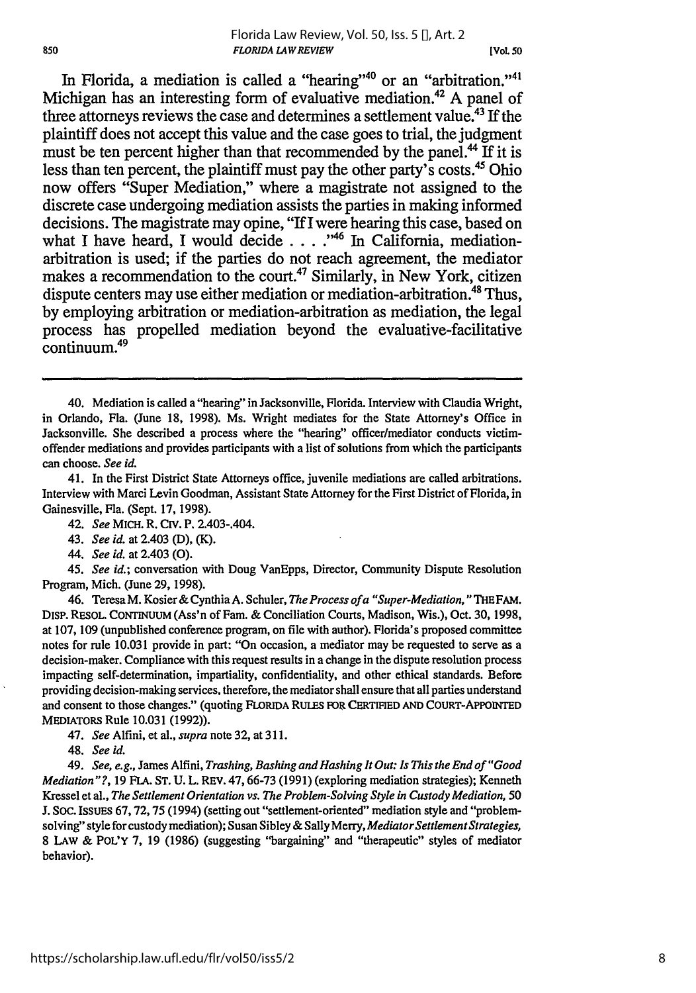## *FLORIDA LAWREVIEW* Florida Law Review, Vol. 50, Iss. 5 [], Art. 2

**[VOL 50**

In Florida, a mediation is called a "hearing"<sup>40</sup> or an "arbitration."<sup>41</sup> Michigan has an interesting form of evaluative mediation.<sup>42</sup> A panel of three attorneys reviews the case and determines a settlement value.43 If the plaintiff does not accept this value and the case goes to trial, the judgment must be ten percent higher than that recommended by the panel.<sup>44</sup> If it is less than ten percent, the plaintiff must pay the other party's costs.<sup>45</sup> Ohio now offers "Super Mediation," where a magistrate not assigned to the discrete case undergoing mediation assists the parties in making informed decisions. The magistrate may opine, **"IfI** were hearing this case, based on what I have heard, I would decide . . . .<sup>46</sup> In California, mediationarbitration is used; if the parties do not reach agreement, the mediator makes a recommendation to the court.<sup>47</sup> Similarly, in New York, citizen dispute centers may use either mediation or mediation-arbitration. 48 Thus, by employing arbitration or mediation-arbitration as mediation, the legal process has propelled mediation beyond the evaluative-facilitative continuum.<sup>49</sup>

41. In the First District State Attorneys office, juvenile mediations are called arbitrations. Interview with Marci Levin Goodman, Assistant State Attorney for the First District of Florida, in Gainesville, Fla. (Sept. 17, 1998).

42. *See* MICH. R. Civ. P. 2.403-.404.

43. *See id.* at 2.403 (D), (K).

*44. See id.* at 2.403 (0).

45. *See id.;* conversation with Doug VanEpps, Director, Community Dispute Resolution Program, Mich. (June 29, 1998).

46. Teresa M. Kosier & Cynthia A. Schuler, *The Process of a "Super-Mediation*, "THE FAM. DisP. RESOL. **CONTINUUM** (Ass'n of Fam. & Conciliation Courts, Madison, Wis.), Oct. 30, 1998, at 107, 109 (unpublished conference program, on file with author). Florida's proposed committee notes for rule 10.031 provide in part: "On occasion, a mediator may be requested to serve as a decision-maker. Compliance with this request results in a change in the dispute resolution process impacting self-determination, impartiality, confidentiality, and other ethical standards. Before providing decision-making services, therefore, the mediator shall ensure that all parties understand and consent to those changes." (quoting FLORIDA RULES FOR CERTIFIED AND COURT-APPOINTED MEDIATORS Rule 10.031 (1992)).

47. *See* Alfini, et al., *supra* note 32, at 311.

48. *See id.*

49. *See, e.g.,* James Alfini, *Trashing, Bashing and Hashing It Out: Is This the End of "Good Mediation"?,* 19 FLA. **ST.** U. L. REV. 47,66-73 (1991) (exploring mediation strategies); Kenneth Kressel et al., *The Settlement Orientation vs. The Problem-Solving Style in Custody Mediation,* 50 J. Soc. ISSUEs 67, 72, 75 (1994) (setting out "settlement-oriented" mediation style and "problemsolving" style for custody mediation); Susan Sibley & Sally Merry, *MediatorSettlement Strategies,* **8** LAw & POL'Y **7,** 19 (1986) (suggesting "bargaining" and "therapeutic" styles of mediator behavior).

<sup>40.</sup> Mediation is called a "hearing" in Jacksonville, Florida. Interview with Claudia Wright, in Orlando, Fla. (June 18, 1998). Ms. Wright mediates for the State Attorney's Office in Jacksonville. She described a process where the "hearing" officer/mediator conducts victimoffender mediations and provides participants with a list of solutions from which the participants can choose. *See id.*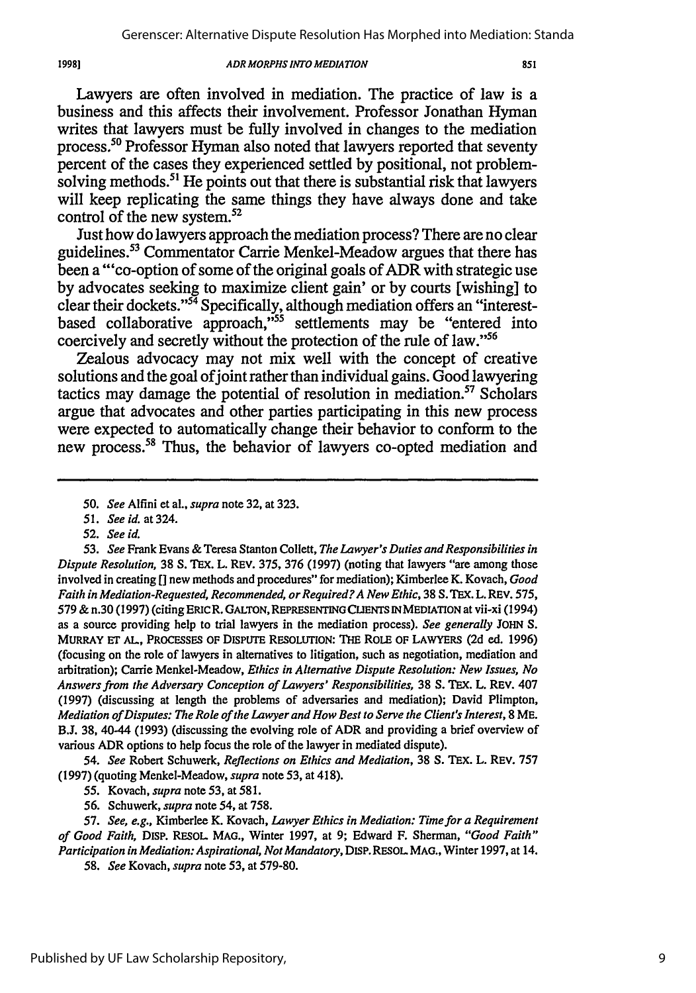Lawyers are often involved in mediation. The practice of law is a business and this affects their involvement. Professor Jonathan Hyman writes that lawyers must be fully involved in changes to the mediation process.<sup>50</sup> Professor Hyman also noted that lawyers reported that seventy percent of the cases they experienced settled **by** positional, not problemsolving methods.<sup>51</sup> He points out that there is substantial risk that lawyers will keep replicating the same things they have always done and take control of the new system.<sup>52</sup>

Just how do lawyers approach the mediation process? There are no clear guidelines.<sup>53</sup> Commentator Carrie Menkel-Meadow argues that there has been a"'co-option of some of the original goals of ADR with strategic use **by** advocates seeking to maximize client gain' or **by** courts [wishing] to clear their dockets." 54 Specifically, although mediation offers an "interestbased collaborative approach,"<sup>55</sup> settlements may be "entered into coercively and secretly without the protection of the rule of law."<sup>56</sup>

Zealous advocacy may not mix well with the concept of creative solutions and the goal of joint rather than individual gains. Good lawyering tactics may damage the potential of resolution in mediation.<sup>57</sup> Scholars argue that advocates and other parties participating in this new process were expected to automatically change their behavior to conform to the new process.<sup>58</sup> Thus, the behavior of lawyers co-opted mediation and

*52. See id.*

19981

*53. See* Frank Evans & Teresa Stanton Collett, *The Lawyer's Duties and Responsibilities in Dispute Resolution,* 38 S. **TEX.** L. REV. 375, 376 (1997) (noting that lawyers "are among those involved in creating **[]** new methods and procedures" for mediation); Kimberlee K. Kovach, *Good Faith in Mediation-Requested, Recommended, orRequired?A New Ethic,* 38 S.TEx. L. REv. 575, 579 & n.30 (1997) (citing ERICR. GALTON, REPRESENTING CLIENTS INMEDIATION at vii-xi (1994) as a source providing help to trial lawyers in the mediation process). *See generally* **JOHN** S. MURRAY **ET AL,** PROCESSES OF DISPUTE RESOLUTION: THE ROLE OF LAWYERS (2d ed. **1996)** (focusing on the role of lawyers in alternatives to litigation, such as negotiation, mediation and arbitration); Carrie Menkel-Meadow, *Ethics in Alternative Dispute Resolution: New Issues, No Answers from the Adversary Conception of Lawyers' Responsibilities,* 38 **S.** TEX. L. REV. 407 (1997) (discussing at length the problems of adversaries and mediation); David Plimpton, *Mediation of Disputes: The Role of the Lawyer and How Best to Serve the Client's Interest,* 8 ME. B.J. 38, 40-44 (1993) (discussing the evolving role of ADR and providing a brief overview of various ADR options to help focus the role of the lawyer in mediated dispute).

*54. See* Robert Schuwerk, *Reflections on Ethics and Mediation,* 38 **S.** TEX. L. REV. 757 (1997) (quoting Menkel-Meadow, *supra* note 53, at 418).

55. Kovach, *supra* note 53, at 581.

56. Schuwerk, *supra* note 54, at 758.

57. *See, e.g.,* Kimberlee K. Kovach, *Lawyer Ethics in Mediation: Time for a Requirement of Good Faith,* DISP. RESOL MAO., Winter 1997, at 9; Edward F. Sherman, *"Good Faith" Participation in Mediation: Aspirational,* **Not** *Mandatory,* DISP. RESOL **MAG.,** Winter 1997, at 14.

*58. See* Kovach, *supra* note 53, at 579-80.

*<sup>50.</sup> See* Alfini et a]., *supra* note 32, at 323.

*<sup>51.</sup> See id. at 324.*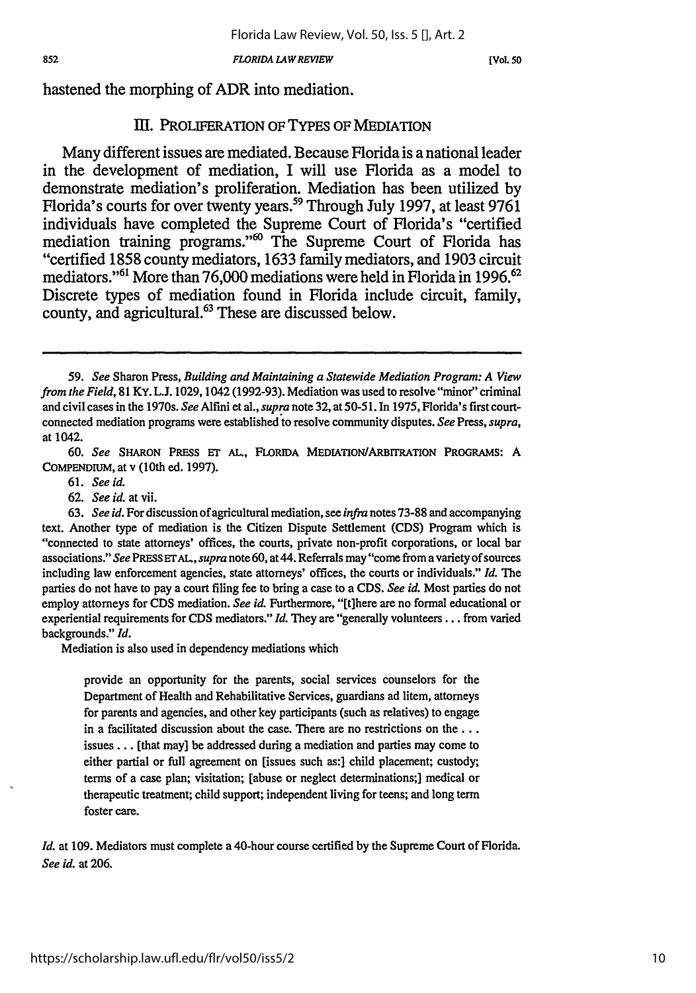*FLORIDA LAWREVIEW*

*[Vol. 50*

hastened the morphing of ADR into mediation.

## III. PROLIFERATION OF TYPES OF MEDIATION

Many different issues are mediated. Because Florida is a national leader in the development of mediation, I will use Florida as a model to demonstrate mediation's proliferation. Mediation has been utilized **by** Florida's courts for over twenty years.59 Through July **1997,** at least **9761** individuals have completed the Supreme Court of Florida's "certified mediation training programs."<sup>60</sup> The Supreme Court of Florida has mediation training programs.' '60 The Supreme Court of Florida has "certified **1858** county mediators, **1633** family mediators, and **1903** circuit mediators."<sup>61</sup> More than 76,000 mediations were held in Florida in 1996.<sup>62</sup> Discrete types of mediation found in Florida include circuit, family, county, and agricultural.63 These are discussed below.

**60.** *See* SHARON PRESS **ET AL.,** FLORIDA MEDIATIoN/ARBITRATION PROGRAMS: A COMPENDIUM, at v (10th ed. 1997).

61. *See id.*

62. *See id.* at vii.

63. *See id.* For discussion of agricultural mediation, see *infra* notes 73-88 and accompanying text. Another type of mediation is the Citizen Dispute Settlement (CDS) Program which is "connected to state attorneys' offices, the courts, private non-profit corporations, or local bar associations." *See* PRESS **ETAL,** *supra* note 60, at 44. Referrals may "come from a variety of sources including law enforcement agencies, state attorneys' offices, the courts or individuals." *Id.* The parties do not have to pay a court filing fee to bring a case to a **CDS.** *See id.* Most parties do not employ attorneys for **CDS** mediation. *See id.* Furthermore, "[t]here are no formal educational or experiential requirements for **CDS** mediators." *Id.* They are "generally volunteers.., from varied backgrounds." *Id.*

Mediation is also used in dependency mediations which

provide an opportunity for the parents, social services counselors for the Department of Health and Rehabilitative Services, guardians ad litem, attorneys for parents and agencies, and other key participants (such as relatives) to engage in a facilitated discussion about the case. There are no restrictions on the... issues... [that may] be addressed during a mediation and parties may come to either partial or full agreement on [issues such as:] child placement; custody; terms of a case plan; visitation; [abuse or neglect determinations;] medical or therapeutic treatment; child support; independent living for teens; and long term foster care.

*Id.* at 109. Mediators must complete a 40-hour course certified by the Supreme Court of Florida. *See id.* at 206.

*<sup>59.</sup> See* Sharon Press, *Building and Maintaining a Statewide Mediation Program: A View from the Field,* 81 KY. L.J. 1029, 1042 (1992-93). Mediation was used to resolve "minor" criminal and civil cases in the 1970s. *See* Alfini et al., *supra* note 32, at 50-51. In 1975, Florida's first courtconnected mediation programs were established to resolve community disputes. *See* Press, *supra,* at 1042.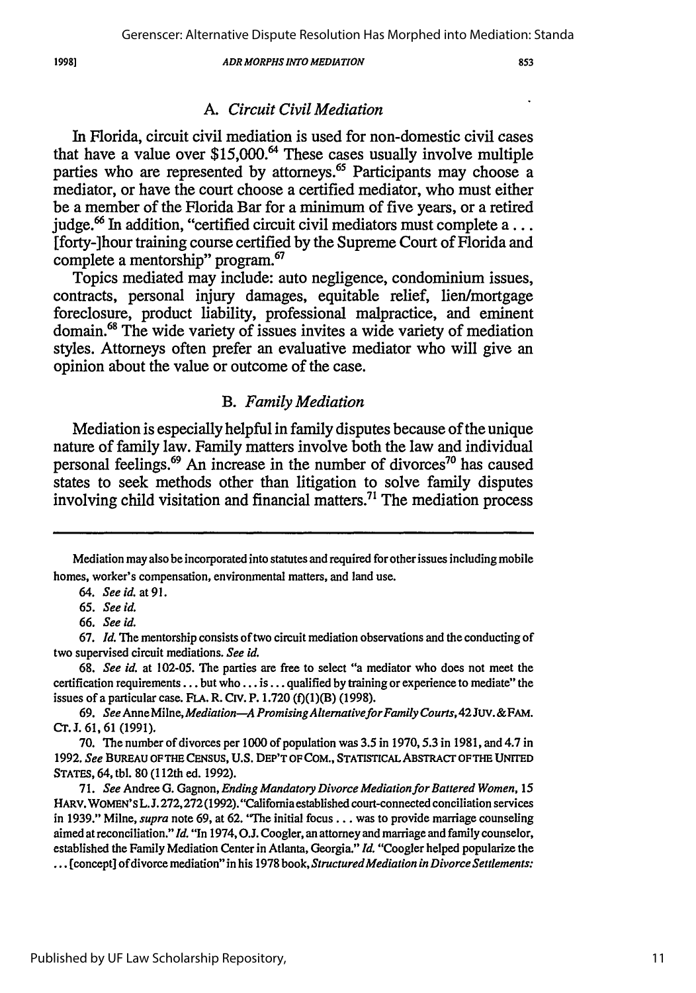## *A. Circuit Civil Mediation*

In Florida, circuit civil mediation is used for non-domestic civil cases that have a value over **\$15 ,0 00 . <sup>4</sup>**These cases usually involve multiple parties who are represented by attorneys.<sup>65</sup> Participants may choose a mediator, or have the court choose a certified mediator, who must either **be** a member of the Florida Bar for a minimum of five years, or a retired judge. 6 In addition, "certified circuit civil mediators must complete **a...** [forty-]hour training course certified **by** the Supreme Court of Florida and complete a mentorship" program.<sup>67</sup>

Topics mediated may include: auto negligence, condominium issues, contracts, personal injury damages, equitable relief, lien/mortgage foreclosure, product liability, professional malpractice, and eminent domain.68 The wide variety of issues invites a wide variety of mediation styles. Attorneys often prefer an evaluative mediator who will give an opinion about the value or outcome of the case.

## *B. Family Mediation*

Mediation is especially helpful in family disputes because of the unique nature of family law. Family matters involve both the law and individual personal feelings.<sup>69</sup> An increase in the number of divorces<sup>70</sup> has caused states to seek methods other than litigation to solve family disputes involving child visitation and financial matters.<sup>71</sup> The mediation process

**70. The** number of divorces per **1000** of population was **3.5** in **1970,5.3** in **1981,** and 4.7 in **1992.** *See* **BUREAU** OF THE **CENSUS, U.S.** DEP'T OF **COM.,** STATISTICAL ABSTRACr OFTHE UNITED STATES, 64, tbl. **80** (112th ed. **1992).**

Mediation may also be incorporated into statutes and required for other issues including mobile homes, worker's compensation, environmental matters, and land use.

*<sup>64.</sup> See id.* **at91.**

**<sup>65.</sup>** *See id.*

*<sup>66.</sup> See id.*

**<sup>67.</sup>** *Id.* The mentorship consists of two circuit mediation observations and the conducting of two supervised circuit mediations. *See id.*

**<sup>68.</sup>** *See id.* at **102-05.** The parties are free to select "a mediator who does not meet the certification requirements **...** but who **... is...** qualified **by** training or experience to mediate" **the** issues of a particular case. FLA. R. CIV. P. 1.720 (f)(1)(B) (1998).

**<sup>69.</sup>** *See* Anne Milne, *Mediation-A PromisingAlternativeforFamily Courts,* 42 JUv. **&FAM. Cr.J. 61, 61 (1991).**

**<sup>71.</sup>** *See* Andree **G.** Gagnon, *Ending Mandatory Divorce Mediationfor Battered Women,* **15** HARV. WOMEN'S L. **J. 272,272 (1992).** "California established court-connected conciliation services in **1939."** Milne, *supra* note **69,** at **62.** 'The initial focus.., was to provide marriage counseling aimed at reconciliation." *Id.* "In 1974, **O.J.** Coogler, an attorney and marriage and family counselor, established the Family Mediation Center in Atlanta, Georgia." *Id.* "Coogler helped popularize the **...** [concept] of divorce mediation" in his **1978** book, *StructuredMediation in Divorce Settlements:*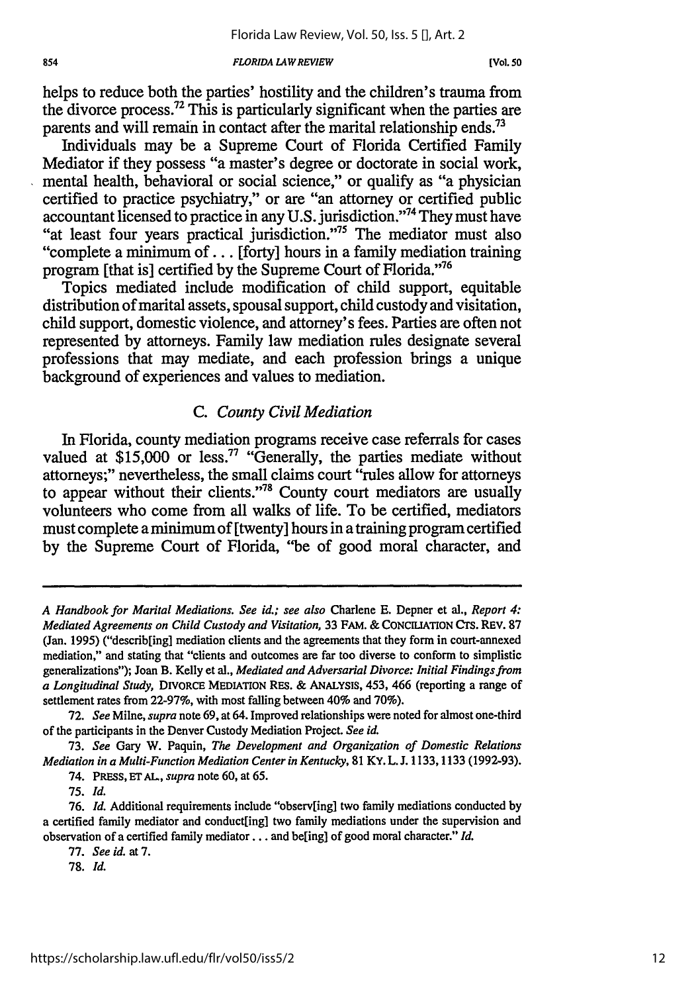#### *FLORIDA LAWREVIEW*

helps to reduce both the parties' hostility and the children's trauma from the divorce process. 72 This is particularly significant when the parties are parents and will remain in contact after the marital relationship ends.<sup>73</sup>

Individuals may be a Supreme Court of Florida Certified Family Mediator if they possess "a master's degree or doctorate in social work, mental health, behavioral or social science," or qualify as "a physician certified to practice psychiatry," or are "an attorney or certified public accountant licensed to practice in any U.S. jurisdiction."74 They must have "at least four years practical jurisdiction."75 The mediator must also "complete a minimum of... [forty] hours in a family mediation training program [that is] certified by the Supreme Court of Florida."'76

Topics mediated include modification of child support, equitable distribution of marital assets, spousal support, child custody and visitation, child support, domestic violence, and attorney's fees. Parties are often not represented by attorneys. Family law mediation rules designate several professions that may mediate, and each profession brings a unique background of experiences and values to mediation.

## *C. County Civil Mediation*

In Florida, county mediation programs receive case referrals for cases valued at  $$15,000$  or less.<sup>77</sup> "Generally, the parties mediate without attorneys;" nevertheless, the small claims court "rules allow for attorneys to appear without their clients."<sup>78</sup> County court mediators are usually volunteers who come from all walks of life. To be certified, mediators must complete a minimum of [twenty] hours in a training program certified by the Supreme Court of Florida, "be of good moral character, and

73. *See* Gary W. Paquin, *The Development and Organization of Domestic Relations Mediation in a Multi-Function Mediation Center in Kentucky,* 81 KY. L. J. 1133,1133 (1992-93).

*A Handbook for Marital Mediations. See id.; see also* Charlene **E.** Depner et al., *Report 4: Mediated Agreements on Child Custody and Visitation,* 33 FAM. & CONCILIATION CTs. REV. 87 (Jan. 1995) ("describ[ing] mediation clients and the agreements that they form in court-annexed mediation," and stating that "clients and outcomes are far too diverse to conform to simplistic generalizations"); Joan B. Kelly et al., *Mediated and Adversarial Divorce: Initial Findings from a Longitudinal Study,* DIVORCE MEDIATION RES. & ANALYSIS, 453, 466 (reporting a range of settlement rates from 22-97%, with most falling between 40% and 70%).

<sup>72.</sup> *See* Milne, *supra* note 69, at 64. Improved relationships were noted for almost one-third of the participants in the Denver Custody Mediation Project. *See id.*

<sup>74.</sup> PRESs, **ET** AL, *supra* note 60, at 65.

<sup>75.</sup> *Id.*

<sup>76.</sup> *Id.* Additional requirements include "observ[ing] two family mediations conducted by a certified family mediator and conduct[ing] two family mediations under the supervision and observation of a certified family mediator... and be[ing] of good moral character." *Id.*

<sup>77.</sup> *See id.* at 7.

**<sup>78.</sup>** *Id.*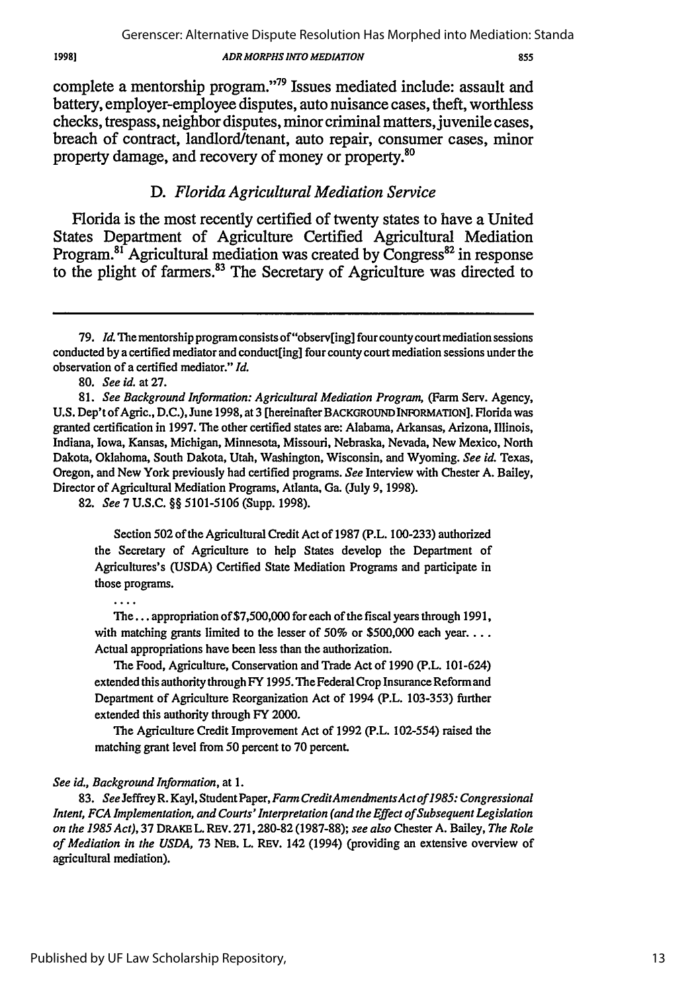*855*

complete a mentorship program."79 Issues mediated include: assault and battery, employer-employee disputes, auto nuisance cases, theft, worthless checks, trespass, neighbor disputes, minor criminal matters, juvenile cases, breach of contract, landlord/tenant, auto repair, consumer cases, minor property damage, and recovery of money or property.<sup>80</sup>

# *D. Florida Agricultural Mediation Service*

Florida is the most recently certified of twenty states to have a United States Department of Agriculture Certified Agricultural Mediation Program.<sup>81</sup> Agricultural mediation was created by Congress<sup>82</sup> in response to the plight of farmers.<sup>83</sup> The Secretary of Agriculture was directed to

82. *See* 7 U.S.C. §§ 5101-5106 (Supp. 1998).

Section *502* of the Agricultural Credit Act of 1987 (P.L. 100-233) authorized the Secretary of Agriculture to help States develop the Department of Agricultures's **(USDA)** Certified State Mediation Programs and participate in those programs.

. . . .

The... appropriation of \$7,500,000 for each of the fiscal years through 1991, with matching grants limited to the lesser of 50% or \$500,000 each year... Actual appropriations have been less than the authorization.

The Food, Agriculture, Conservation and Trade Act of 1990 (P.L. 101-624) extended this authority through FY 1995. The Federal Crop Insurance Reform and Department of Agriculture Reorganization Act of 1994 (P.L. 103-353) further extended this authority through FY 2000.

The Agriculture Credit Improvement Act of 1992 (P.L. 102-554) raised the matching grant level from 50 percent to 70 percent.

## See id., *Background Information,* at 1.

83. See JeffreyR. Kayl, Student Paper, *Farm CreditAmendmentsActof1985: Congressional Intent, FCA Implementation, and Courts' Interpretation (and the Effect of Subsequent Legislation on the 1985Act),* 37 DRAKE L. **REV.** 271,280-82 (1987-88); *see also* Chester A. Bailey, *The Role of Mediation in the USDA,* 73 **NEB.** L. **REV.** 142 (1994) (providing an extensive overview of agricultural mediation).

**<sup>79.</sup>** *ld* **The** mentorship program consists of"observ[ing] four county court mediation sessions conducted by a certified mediator and conduct[ing] four county court mediation sessions under the observation of a certified mediator." *Id.*

<sup>80.</sup> *See id.* at 27.

<sup>81.</sup> *See Background Information: Agricultural Mediation Program,* (Farm Serv. Agency, U.S. Dep'tof Agric., D.C.), June 1998, at 3 [hereinafter BACKGROUND INFORMATON]. Florida was granted certification in 1997. The other certified states are: Alabama, Arkansas, Arizona, Illinois, Indiana, Iowa, Kansas, Michigan, Minnesota, Missouri, Nebraska, Nevada, New Mexico, North Dakota, Oklahoma, South Dakota, Utah, Washington, Wisconsin, and Wyoming. *See id.* Texas, Oregon, and New York previously had certified programs. *See* Interview with Chester A. Bailey, Director of Agricultural Mediation Programs, Atlanta, Ga. (July 9, 1998).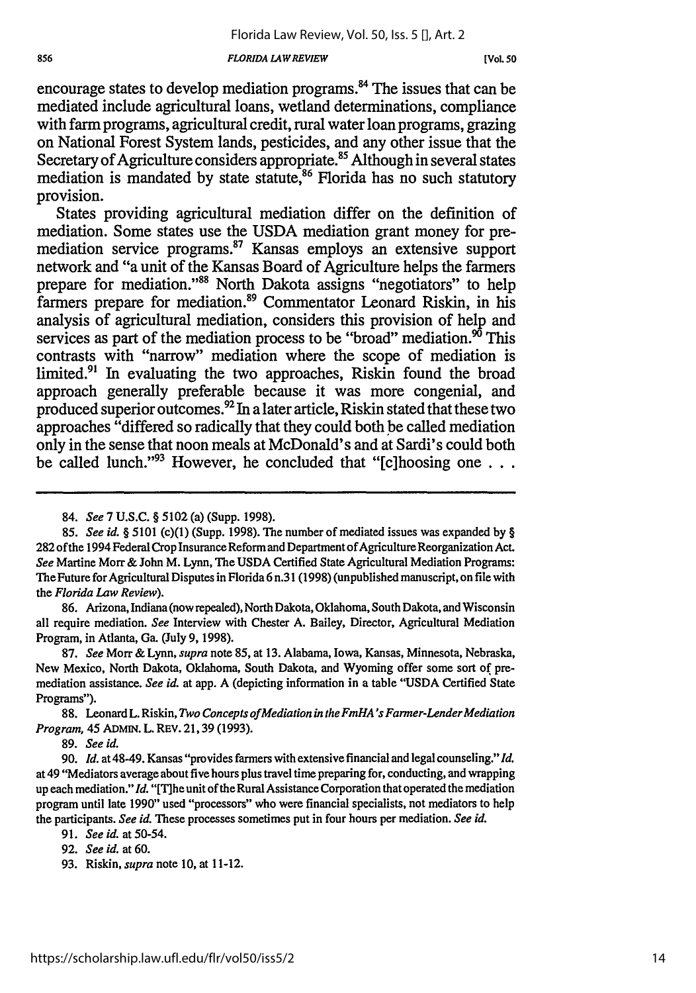### *FLORIDA LAWREVIEW*

encourage states to develop mediation programs.<sup>84</sup> The issues that can be mediated include agricultural loans, wetland determinations, compliance with farm programs, agricultural credit, rural water loan programs, grazing on National Forest System lands, pesticides, and any other issue that the Secretary of Agriculture considers appropriate.<sup>85</sup> Although in several states mediation is mandated by state statute,<sup>86</sup> Florida has no such statutory provision.

States providing agricultural mediation differ on the definition of mediation. Some states use the **USDA** mediation grant money for premediation service programs.<sup>87</sup> Kansas employs an extensive support network and "a unit of the Kansas Board of Agriculture helps the farmers prepare for mediation."<sup>88</sup> North Dakota assigns "negotiators" to help farmers prepare for mediation.<sup>89</sup> Commentator Leonard Riskin, in his analysis of agricultural mediation, considers this provision of help and services as part of the mediation process to be "broad" mediation. $^{90}$  This contrasts with "narrow" mediation where the scope of mediation is limited.<sup>91</sup> In evaluating the two approaches, Riskin found the broad approach generally preferable because it was more congenial, and produced superior outcomes.92 In a later article, Riskin stated that these two approaches "differed so radically that they could both be called mediation only in the sense that noon meals at McDonald's and at Sardi's could both be called lunch."'93 However, he concluded that "[c]hoosing one **. . .**

86. Arizona, Indiana (now repealed), North Dakota, Oklahoma, South Dakota, and Wisconsin all require mediation. *See* Interview with Chester A. Bailey, Director, Agricultural Mediation Program, in Atlanta, Ga. (July 9, 1998).

<sup>84.</sup> *See* 7 U.S.C. § 5102 (a) (Supp. 1998).

*<sup>85.</sup> See id. §* 5101 (c)(1) (Supp. 1998). The number of mediated issues was expanded **by** § 282 of the 1994 Federal Crop Insurance Reform and Department of Agriculture Reorganization Act. *See* Martine **Mort &** John M. Lynn, The USDA Certified State Agricultural Mediation Programs: The Future for Agricultural Disputes in Florida 6 n.31 (1998) (unpublished manuscript, on file with the *Florida Law Review).*

<sup>87.</sup> *See* Morr & Lynn, *supra* note **85,** at **13.** Alabama, Iowa, Kansas, Minnesota, Nebraska, New Mexico, North Dakota, Oklahoma, South Dakota, and Wyoming offer some sort of premediation assistance. *See id.* at app. A (depicting information in a table **"USDA** Certified State Programs").

<sup>88.</sup> Leonard L. Riskin, *Two Concepts of Mediation in the FmHA's Farmer-Lender Mediation Program,* 45 ADMIN. L. REV. 21, 39 (1993).

<sup>89.</sup> *See id.*

<sup>90.</sup> *Id.* at 48-49. Kansas "provides farmers with extensive financial and legal counseling." *Id.* at 49 "Mediators average about five hours plus travel time preparing for, conducting, and wrapping up each mediation." *Id.* "[Tihe unit of the Rural Assistance Corporation that operated the mediation program until late 1990" used "processors" who were financial specialists, not mediators to help the participants. *See id.* These processes sometimes put in four hours per mediation. *See id.*

<sup>91.</sup> *See id.* at 50-54.

<sup>92.</sup> *See id.* at 60.

<sup>93.</sup> Riskin, **supra** note **10,** at 11-12.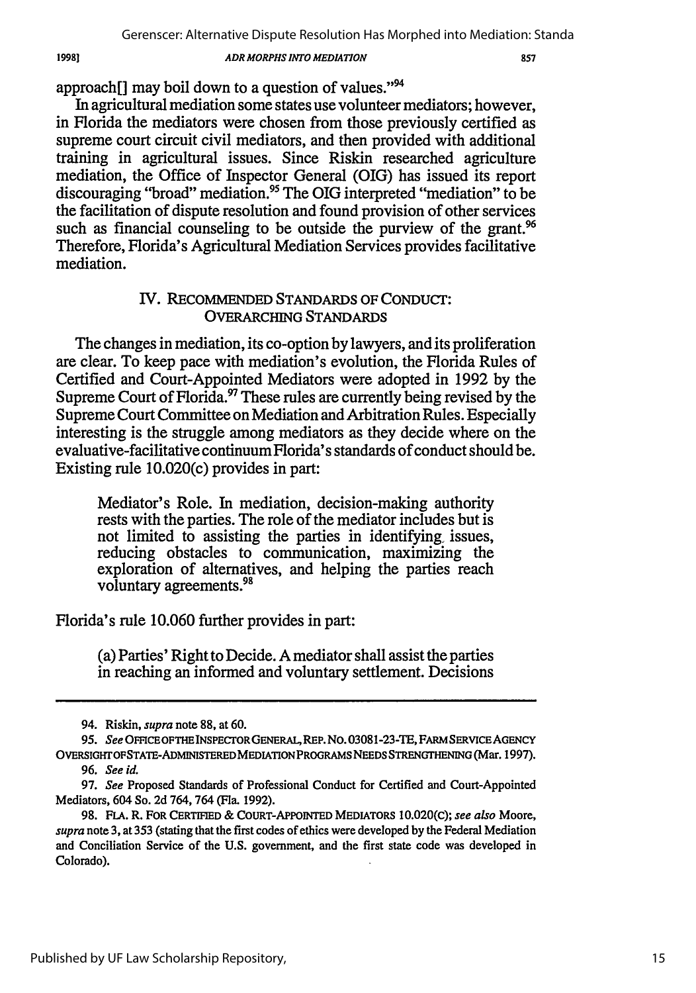approach[] may boil down to a question of values."<sup>94</sup>

19981

In agricultural mediation some states use volunteer mediators; however, in Florida the mediators were chosen from those previously certified as supreme court circuit civil mediators, and then provided with additional training in agricultural issues. Since Riskin researched agriculture mediation, the Office of Inspector General (OIG) has issued its report discouraging "broad" mediation.95 The OIG interpreted "mediation" to be the facilitation of dispute resolution and found provision of other services such as financial counseling to be outside the purview of the grant.<sup>96</sup> Therefore, Florida's Agricultural Mediation Services provides facilitative mediation.

# **IV.** RECOMMENDED STANDARDS OF CONDuCT: OVERARCHING **STANDARDS**

The changes in mediation, its co-option by lawyers, and its proliferation are clear. To keep pace with mediation's evolution, the Florida Rules of Certified and Court-Appointed Mediators were adopted in 1992 by the Supreme Court of Florida.<sup>97</sup> These rules are currently being revised by the Supreme Court Committee on Mediation and Arbitration Rules. Especially interesting is the struggle among mediators as they decide where on the evaluative-facilitative continuum Florida's standards of conduct should be. Existing rule 10.020(c) provides in part:

Mediator's Role. In mediation, decision-making authority rests with the parties. The role of the mediator includes but is not limited to assisting the parties in identifying, issues, reducing obstacles to communication, maximizing the exploration of alternatives, and helping the parties reach voluntary agreements. <sup>98</sup>

Florida's rule 10.060 further provides in part:

(a) Parties' Right to Decide. A mediator shall assist the parties in reaching an informed and voluntary settlement. Decisions

<sup>94.</sup> Riskin, *supra* note 88, at 60.

**<sup>95.</sup>** See OFECE *OPTHE* INSPECrOR GENERAL, REP. No. **03081-23-TE,** FARM *SERVICE* AGENCY OVERSIGHrOPSTATE-ADMINISTERED MEDIATION PROGRAMS NEEDS STRENGTHENING (Mar. 1997).

<sup>96.</sup> See **id.**

<sup>97.</sup> See Proposed Standards of Professional Conduct for Certified and Court-Appointed Mediators, 604 So. 2d 764, 764 (Fla. 1992).

<sup>98.</sup> **FLA.** R. FOR CERTIFIED & COURT-APPOINTED MEDIATORS 10.020(C); *see also* Moore, *supra* note 3, at 353 (stating that the first codes of ethics were developed by the Federal Mediation and Conciliation Service of the U.S. government, and the first state code was developed in Colorado).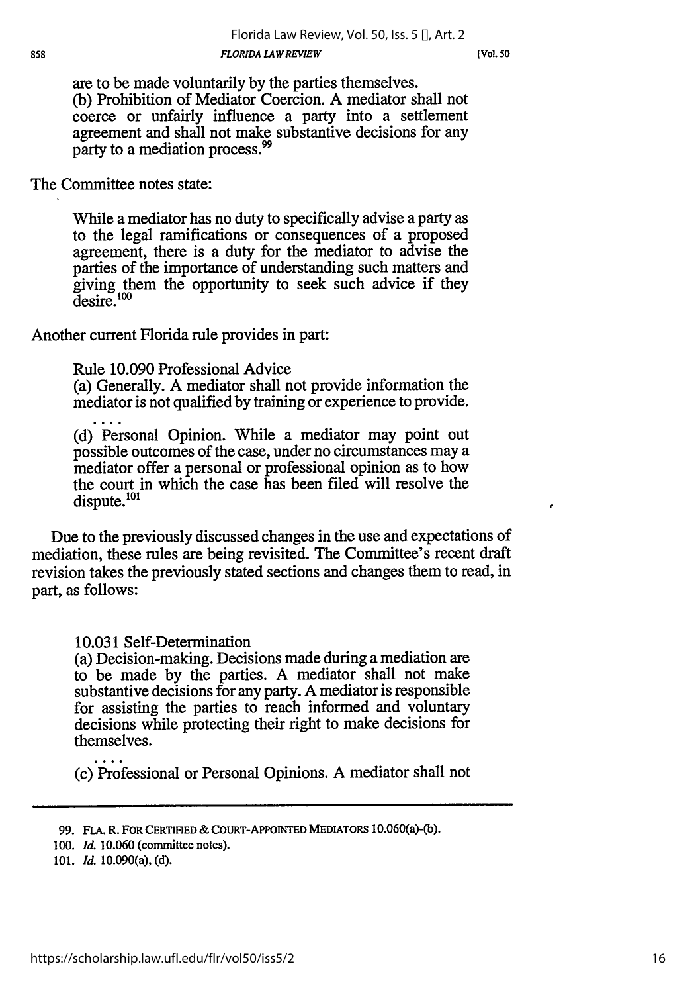are to be made voluntarily by the parties themselves. (b) Prohibition of Mediator Coercion. A mediator shall not coerce or unfairly influence a party into a settlement agreement and shall not make substantive decisions for any party to a mediation process.<sup>99</sup>

The Committee notes state:

While a mediator has no duty to specifically advise a party as to the legal ramifications or consequences of a proposed agreement, there is a duty for the mediator to advise the parties of the importance of understanding such matters and giving them the opportunity to seek such advice if they desire.<sup>100</sup>

Another current Florida rule provides in part:

Rule 10.090 Professional Advice

(a) Generally. A mediator shall not provide information the mediator is not qualified by training or experience to provide.

(d) Personal Opinion. While a mediator may point out possible outcomes of the case, under no circumstances may a mediator offer a personal or professional opinion as to how the court in which the case has been filed will resolve the dispute.<sup>101</sup>

Due to the previously discussed changes in the use and expectations of mediation, these rules are being revisited. The Committee's recent draft revision takes the previously stated sections and changes them to read, in part, as follows:

10.031 Self-Determination

(a) Decision-making. Decisions made during a mediation are to be made by the parties. A mediator shall not make substantive decisions for any party. A mediator is responsible for assisting the parties to reach informed and voluntary decisions while protecting their right to make decisions for themselves.

(c) Professional or Personal Opinions. A mediator shall not

<sup>99.</sup> **FLA.** R. FOR CERTIFED **& COURT-APPOINTED** MEDIATORS 10.060(a)-(b).

*<sup>100.</sup> Id.* 10.060 (committee notes).

**<sup>101.</sup>** *Id.* 10.090(a), **(d).**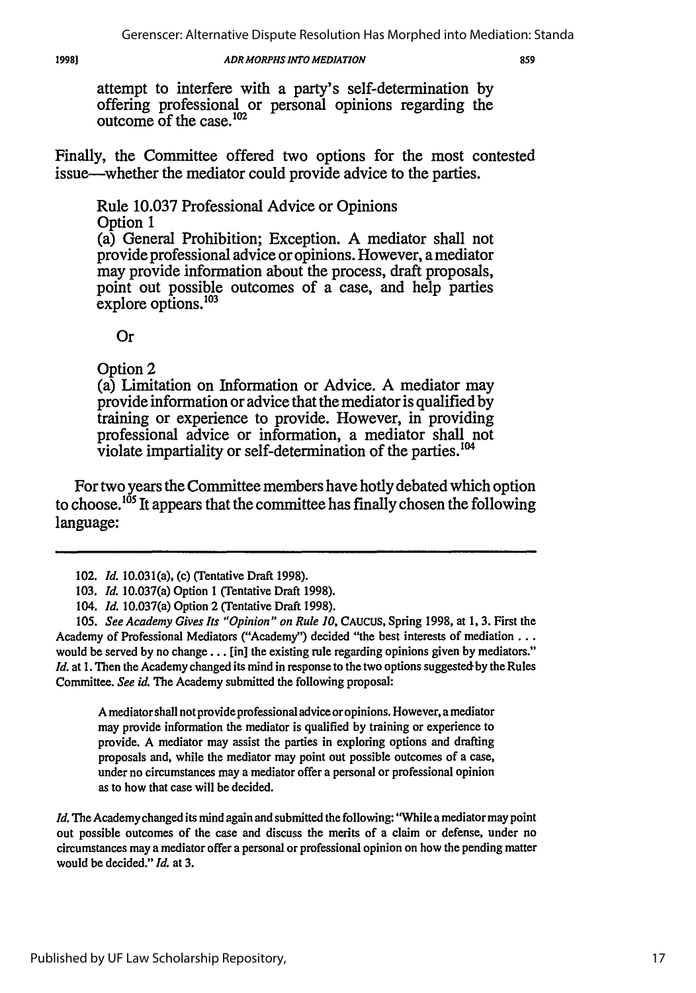19981

## *ADR MORPHS INTO MEDIATION*

859

attempt to interfere with a party's self-determination by offering professional or personal opinions regarding the outcome of the case. $102$ 

Finally, the Committee offered two options for the most contested issue-whether the mediator could provide advice to the parties.

Rule 10.037 Professional Advice or Opinions Option 1

(a) General Prohibition; Exception. A mediator shall not provide professional advice or opinions. However, a mediator may provide information about the process, draft proposals, point out possible outcomes of a case, and help parties  $\rm{explore}$  options.<sup>103</sup>

Or

Option 2

(a) Limitation on Information or Advice. **A** mediator may provide information or advice that the mediator is qualified by training or experience to provide. However, in providing professional advice or information, a mediator shall not violate impartiality or self-determination of the parties. 104

For two years the Committee members have hotly debated which option to choose.<sup>105</sup> It appears that the committee has finally chosen the following language:

*105. See Academy Gives Its "Opinion" on Rule 10,* CAUCUS, Spring 1998, at 1, 3. First the Academy of Professional Mediators ("Academy") decided "the best interests of mediation... would be served by no change... [in] the existing rule regarding opinions given by mediators." *Id.* at 1. Then the Academy changed its mind in response to the two options suggested by the Rules Committee. *See id.* The Academy submitted the following proposal:

A mediator shall not provide professional advice or opinions. However, a mediator may provide information the mediator is qualified by training or experience to provide. A mediator may assist the parties in exploring options and drafting proposals and, while the mediator may point out possible outcomes of a case, under no circumstances may a mediator offer a personal or professional opinion as to how that case will be decided.

*Id.* The Academy changed its mind again and submitted the following: "While a mediator may point out possible outcomes of the case and discuss the merits of a claim or defense, under no circumstances may a mediator offer a personal or professional opinion on how the pending matter would be decided." *Id.* at 3.

<sup>102.</sup> *Id.* 10.031(a), (c) (Tentative Draft 1998).

<sup>103.</sup> *Id.* 10.037(a) Option **I** (Tentative Draft 1998).

*<sup>104.</sup> Id.* 10.037(a) Option 2 (Tentative Draft 1998).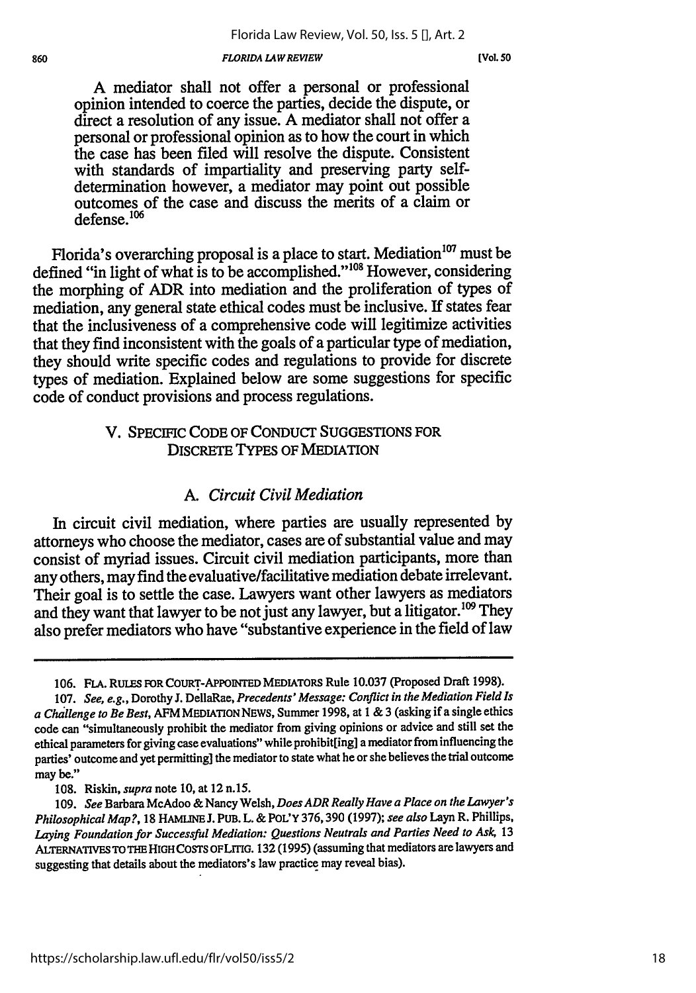#### *FLORIDA L4WREVIEW*

860

A mediator shall not offer a personal or professional opinion intended to coerce the parties, decide the dispute, or direct a resolution of any issue. A mediator shall not offer a personal or professional opinion as to how the court in which the case has been filed will resolve the dispute. Consistent with standards of impartiality and preserving party selfdetermination however, a mediator may point out possible outcomes of the case and discuss the merits of a claim or defense.<sup>106</sup>

Florida's overarching proposal is a place to start. Mediation<sup>107</sup> must be defined "in light of what is to be accomplished."<sup>108</sup> However, considering the morphing of ADR into mediation and the proliferation of types of mediation, any general state ethical codes must be inclusive. If states fear that the inclusiveness of a comprehensive code will legitimize activities that they find inconsistent with the goals of a particular type of mediation, they should write specific codes and regulations to provide for discrete types of mediation. Explained below are some suggestions for specific code of conduct provisions and process regulations.

# V. SPECIFIC CODE OF CONDucT SUGGESTIONS FOR DISCRETE TYPES OF MEDIATION

## *A. Circuit Civil Mediation*

In circuit civil mediation, where parties are usually represented by attorneys who choose the mediator, cases are of substantial value and may consist of myriad issues. Circuit civil mediation participants, more than any others, may find the evaluative/facilitative mediation debate irrelevant. Their goal is to settle the case. Lawyers want other lawyers as mediators and they want that lawyer to be not just any lawyer, but a litigator.<sup>109</sup> They also prefer mediators who have "substantive experience in the field of law

**<sup>106.</sup>** FLA. RULES FOR COURT-APPOINTED MEDIATORS Rule **10.037** (Proposed Draft **1998).**

<sup>107.</sup> *See, e.g.,* Dorothy J. *DellaRae, Precedents' Message: Conflict in the Mediation Field Is a Challenge to Be Best,* AFM **MEDIATION** NEWS, Summer 1998, at 1 & 3 (asking if a single ethics code can "simultaneously prohibit the mediator from giving opinions or advice and still set the ethical parameters for giving case evaluations" while prohibit[ing] a mediator from influencing the parties' outcome and yet permitting] the mediator to state what he or she believes the trial outcome may **be."**

**<sup>108.</sup>** Riskin, *supra* note **10,** at 12 n.15.

**<sup>109.</sup>** *See* Barbara McAdoo & Nancy Welsh, *Does ADR Really Have a Place on the Lawyer's Philosophical Map?,* **18** HAMuNE **J.** PUB. L. **& POL'Y 376,390 (1997);** *see also* Layn R. Phillips, *Laying Foundation for Successful Mediation: Questions Neutrals and Parties Need to Ask,* **13** ALTERNATIVES TO THE HIGH COSTS OF LITIG. 132 (1995) (assuming that mediators are lawyers and suggesting that details about the mediators's law practice may reveal bias).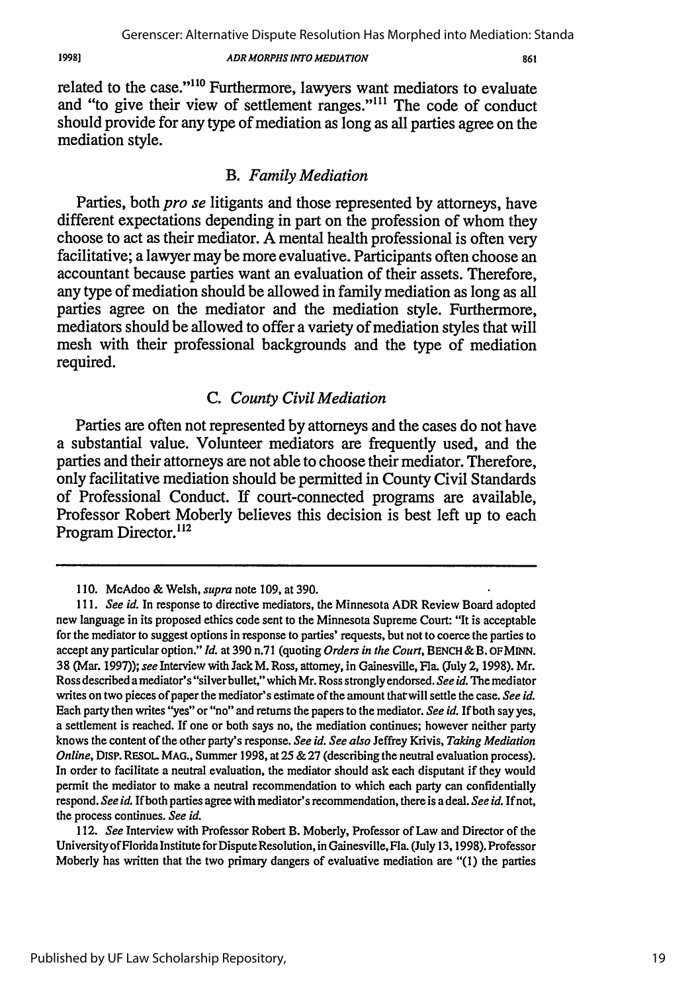861

related to the case."<sup>110</sup> Furthermore, lawyers want mediators to evaluate and "to give their view of settlement ranges."<sup>111</sup> The code of conduct should provide for any type of mediation as long as all parties agree on the mediation style.

## *B. Family Mediation*

Parties, both *pro se* litigants and those represented **by** attorneys, have different expectations depending in part on the profession of whom they choose to act as their mediator. **A** mental health professional is often very facilitative; a lawyer may be more evaluative. Participants often choose an accountant because parties want an evaluation of their assets. Therefore, any type of mediation should be allowed in family mediation as long as all parties agree on the mediator and the mediation style. Furthermore, mediators should be allowed to offer a variety of mediation styles that will mesh with their professional backgrounds and the type of mediation required.

# *C. County Civil Mediation*

Parties are often not represented **by** attorneys and the cases do not have a substantial value. Volunteer mediators are frequently used, and the parties and their attorneys are not able to choose their mediator. Therefore, only facilitative mediation should be permitted in County Civil Standards of Professional Conduct. **If** court-connected programs are available, Professor Robert Moberly believes this decision is best left up to each Program Director.<sup>112</sup>

19981

**<sup>110.</sup>** McAdoo & Welsh, **supra** note **109,** at **390.**

*<sup>111.</sup> See id.* In response to directive mediators, the Minnesota ADR Review Board adopted new language in its proposed ethics code sent to the Minnesota Supreme Court: **'It** is acceptable for the mediator to suggest options in response to parties' requests, but not to coerce the parties to accept any particular option." *Id.* at **390** n.71 (quoting *Orders in the Court,* **BENCH &** B. **OFMINN. 38** (Mar. **1997));** *see* Interview with Jack M. Ross, attorney, in Gainesville, Fla. (July 2, **1998).** Mr. Ross described a mediator's "silver bullet," which Mr. Ross strongly endorsed. *See id.* The mediator writes on two pieces of paper the mediator's estimate of the amount tharwill settle the case. *See id.* Each party then writes "yes" or "no" and returns the papers to the mediator. *See id.* If both say yes, a settlement is reached. **If** one or both says no, the mediation continues; however neither party knows the content of the other party's response. *See id. See also* Jeffrey Krivis, *Taking Mediation Online,* DISP. RESOL **MAG.,** Summer **1998,** at **25 & 27** (describing the neutral evaluation process). In order to facilitate a neutral evaluation, the mediator should ask each disputant if they would permit the mediator to make a neutral recommendation to which each party can confidentially respond. *See id.* **If** both parties agree with mediator's recommendation, there is a deal. *See id.* **If** not, the process continues. *See id.*

*<sup>112.</sup> See* Interview with Professor Robert B. Moberly, Professor of Law and Director of the University of Florida Institute for Dispute Resolution, in Gainesville, Fla. (July **13, 1998).** Professor Moberly has written that the two primary dangers of evaluative mediation are **"(1)** the parties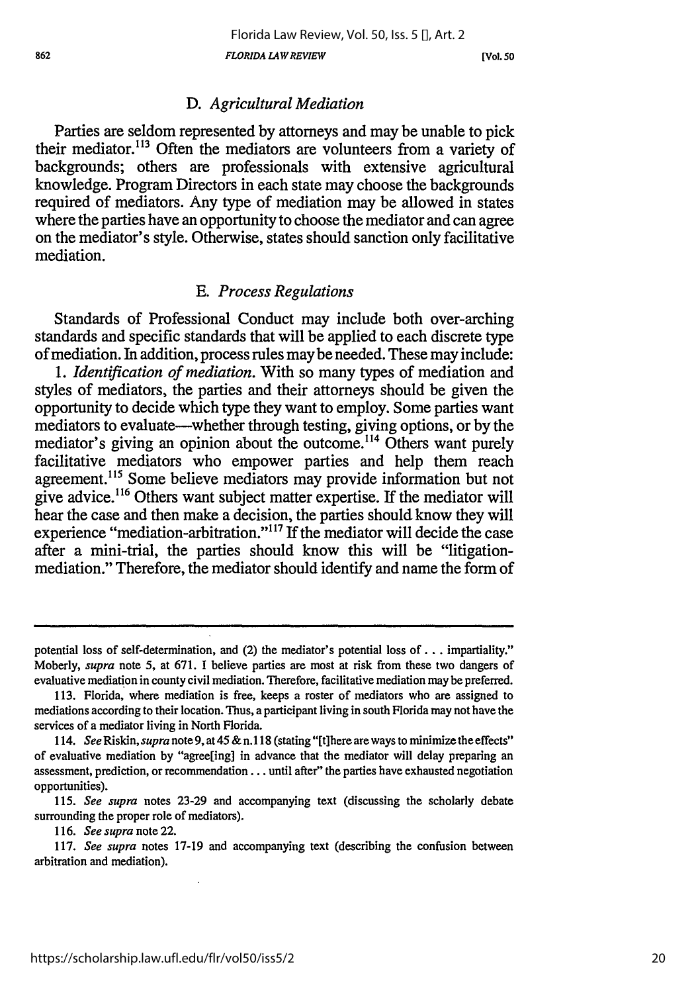**[Vol. 5D**

## *D. Agricultural Mediation*

Parties are seldom represented by attorneys and may be unable to pick their mediator.<sup>113</sup> Often the mediators are volunteers from a variety of backgrounds; others are professionals with extensive agricultural knowledge. Program Directors in each state may choose the backgrounds required of mediators. Any type of mediation may be allowed in states where the parties have an opportunity to choose the mediator and can agree on the mediator's style. Otherwise, states should sanction only facilitative mediation.

## *E. Process Regulations*

Standards of Professional Conduct may include both over-arching standards and specific standards that will be applied to each discrete type of mediation. In addition, process rules maybe needed. These may include:

*1. Identification of mediation.* With so many types of mediation and styles of mediators, the parties and their attorneys should be given the opportunity to decide which type they want to employ. Some parties want mediators to evaluate-whether through testing, giving options, or by the mediator's giving an opinion about the outcome.<sup>114</sup> Others want purely facilitative mediators who empower parties and help them reach agreement. 15 Some believe mediators may provide information but not give advice.<sup>116</sup> Others want subject matter expertise. If the mediator will hear the case and then make a decision, the parties should know they will experience "mediation-arbitration."<sup>117</sup> If the mediator will decide the case after a mini-trial, the parties should know this will be "litigationmediation." Therefore, the mediator should identify and name the form of

potential loss of self-determination, and (2) the mediator's potential loss **of. .** . impartiality." Moberly, *supra* note 5, at 671. I believe parties are most at risk from these two dangers of evaluative mediation in county civil mediation. Therefore, facilitative mediation may be preferred.

<sup>113.</sup> Florida, where mediation is free, keeps a roster of mediators who are assigned to mediations according to their location. Thus, a participant living in south Florida may not have the services of a mediator living in North Florida.

<sup>114.</sup> *See* Riskin, *supra* note 9, at 45 & n. **118** (stating "[tihere are ways to minimize the effects" of evaluative mediation by "agree[ing] in advance that the mediator will delay preparing an assessment, prediction, or recommendation.., until after" the parties have exhausted negotiation opportunities).

**<sup>115.</sup>** *See supra* notes 23-29 and accompanying text (discussing the scholarly debate surrounding the proper role of mediators).

*<sup>116.</sup> See supra* note 22.

**<sup>117.</sup>** *See supra* notes **17-19** and accompanying text (describing the confusion between arbitration and mediation).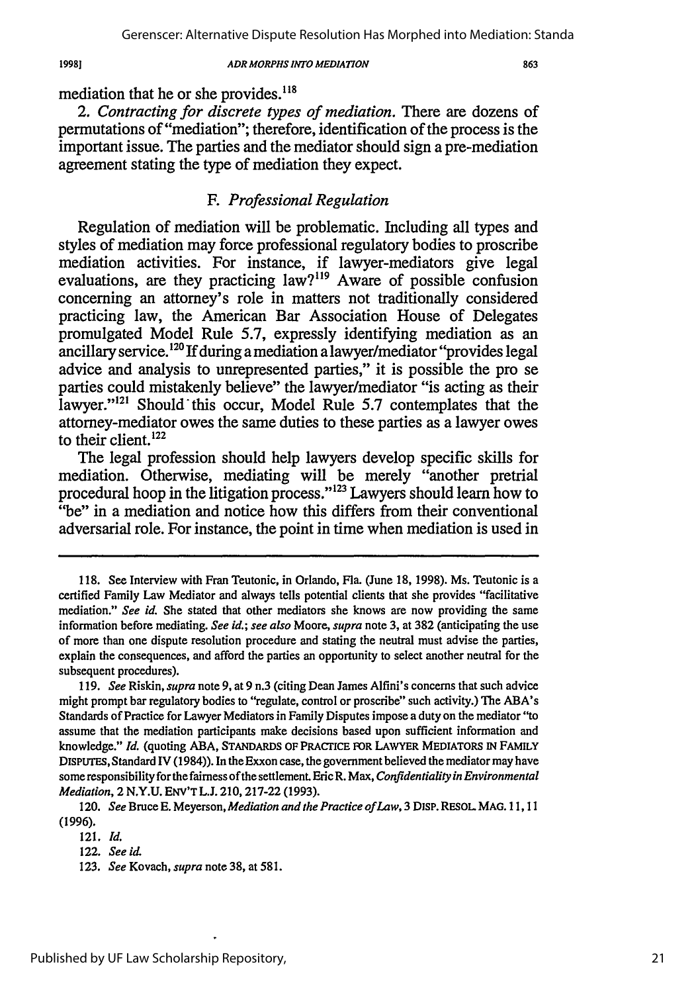19981

#### *ADR MORPHS INTO MEDIATION*

mediation that he or she provides.<sup>118</sup>

*2. Contracting for discrete types of mediation.* There are dozens of permutations of "mediation"; therefore, identification of the process is the important issue. The parties and the mediator should sign a pre-mediation agreement stating the type of mediation they expect.

## *F. Professional Regulation*

Regulation of mediation will be problematic. Including all types and styles of mediation may force professional regulatory bodies to proscribe mediation activities. For instance, if lawyer-mediators give legal evaluations, are they practicing  $law^{919}$  Aware of possible confusion concerning an attorney's role in matters not traditionally considered practicing law, the American Bar Association House of Delegates promulgated Model Rule 5.7, expressly identifying mediation as an ancillary service.<sup>120</sup> If during a mediation a lawyer/mediator "provides legal advice and analysis to unrepresented parties," it is possible the pro se parties could mistakenly believe" the lawyer/mediator "is acting as their lawyer."<sup>121</sup> Should this occur, Model Rule 5.7 contemplates that the attorney-mediator owes the same duties to these parties as a lawyer owes to their client. $^{122}$ 

The legal profession should help lawyers develop specific skills for mediation. Otherwise, mediating will be merely "another pretrial procedural hoop in the litigation process."<sup>123</sup> Lawyers should learn how to "be" in a mediation and notice how this differs from their conventional adversarial role. For instance, the point in time when mediation is used in

<sup>118.</sup> See Interview with Fran Teutonic, in Orlando, Fla. (June 18, 1998). Ms. Teutonic is a certified Family Law Mediator and always tells potential clients that she provides "facilitative mediation." *See id.* She stated that other mediators she knows are now providing the same information before mediating. *See id.;* see also Moore, *supra* note 3, at 382 (anticipating the use of more than one dispute resolution procedure and stating the neutral must advise the parties, explain the consequences, and afford the parties an opportunity to select another neutral for the subsequent procedures).

<sup>119.</sup> *See* Riskin, *supra* note 9, at 9 n.3 (citing Dean James Alfini's concerns that such advice might prompt bar regulatory bodies to "regulate, control or proscribe" such activity.) The ABA's Standards of Practice for Lawyer Mediators in Family Disputes impose a duty on the mediator "to assume that the mediation participants make decisions based upon sufficient information and knowledge." *Id.* (quoting ABA, STANDARDS OF PRACrICE FOR LAWYER MEDIATORS IN FAMILY DISPUTE, Standard IV (1984)). In the Exxon case, the government believed the mediator may have some responsibility for the fairness of the settlement. Eric R. Max, *Confidentiality in Environmental Mediation, 2 N.Y.U. ENV'T L.J. 210, 217-22 (1993).* 

<sup>120.</sup> *See* Bruce E. Meyerson, *Mediation and the Practice of Law,* 3 DISP. RESOL MAG. 11,11 (1996).

<sup>121.</sup> *Id.*

<sup>122.</sup> *See id.*

<sup>123.</sup> *See* Kovach, *supra* note 38, at 581.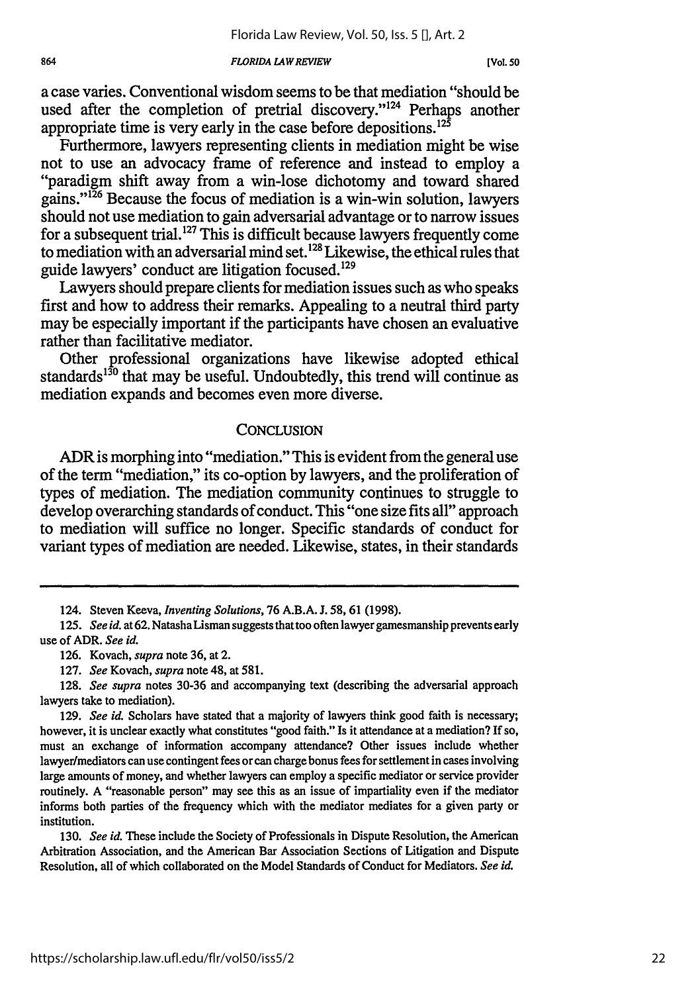#### *FLORIDA LAWREVIEW*

a case varies. Conventional wisdom seems to be that mediation "should be used after the completion of pretrial discovery."<sup>124</sup> Perhaps another appropriate time is very early in the case before depositions.<sup>125</sup>

Furthermore, lawyers representing clients in mediation might be wise not to use an advocacy frame of reference and instead to employ a "paradigm shift away from a win-lose dichotomy and toward shared gains."'26 Because the focus of mediation is a win-win solution, lawyers should not use mediation to gain adversarial advantage or to narrow issues for a subsequent trial.<sup>127</sup> This is difficult because lawyers frequently come to mediation with an adversarial mind set. **128** Likewise, the ethical rules that guide lawyers' conduct are litigation focused.<sup>129</sup>

Lawyers should prepare clients for mediation issues such as who speaks first and how to address their remarks. Appealing to a neutral third party may be especially important if the participants have chosen an evaluative rather than facilitative mediator.

Other professional organizations have likewise adopted ethical standards<sup>130</sup> that may be useful. Undoubtedly, this trend will continue as mediation expands and becomes even more diverse.

## CONCLUSION

ADR is morphing into "mediation." This is evident from the general use of the term "mediation," its co-option by lawyers, and the proliferation of types of mediation. The mediation community continues to struggle to develop overarching standards of conduct. This "one size fits all" approach to mediation will suffice no longer. Specific standards of conduct for variant types of mediation are needed. Likewise, states, in their standards

130. *See id.* These include the Society of Professionals in Dispute Resolution, the American Arbitration Association, and the American Bar Association Sections of Litigation and Dispute Resolution, all of which collaborated on the Model Standards of Conduct for Mediators. *See id.*

<sup>124.</sup> Steven Keeva, *Inventing Solutions,* 76 A.B.A. J. 58, 61 (1998).

**<sup>125.</sup>** *See id. at* **62.** NatashaLisman suggests that too often lawyer gamesmanship prevents early use of ADR. *See id.*

<sup>126.</sup> Kovach, *supra* note 36, at 2.

<sup>127.</sup> *See* Kovach, *supra* note 48, at 581.

<sup>128.</sup> *See supra* notes 30-36 and accompanying text (describing the adversarial approach lawyers take to mediation).

**<sup>129.</sup>** *See id.* Scholars have stated that a majority of lawyers think good faith is necessary; however, it is unclear exactly what constitutes "good faith." Is it attendance at a mediation? If so, must an exchange of information accompany attendance? Other issues include whether lawyer/mediators can use contingent fees or can charge bonus fees for settlement in cases involving large amounts of money, and whether lawyers can employ a specific mediator or service provider routinely. A "reasonable person" may see this as an issue of impartiality even if the mediator informs both parties of the frequency which with the mediator mediates for a given party or institution.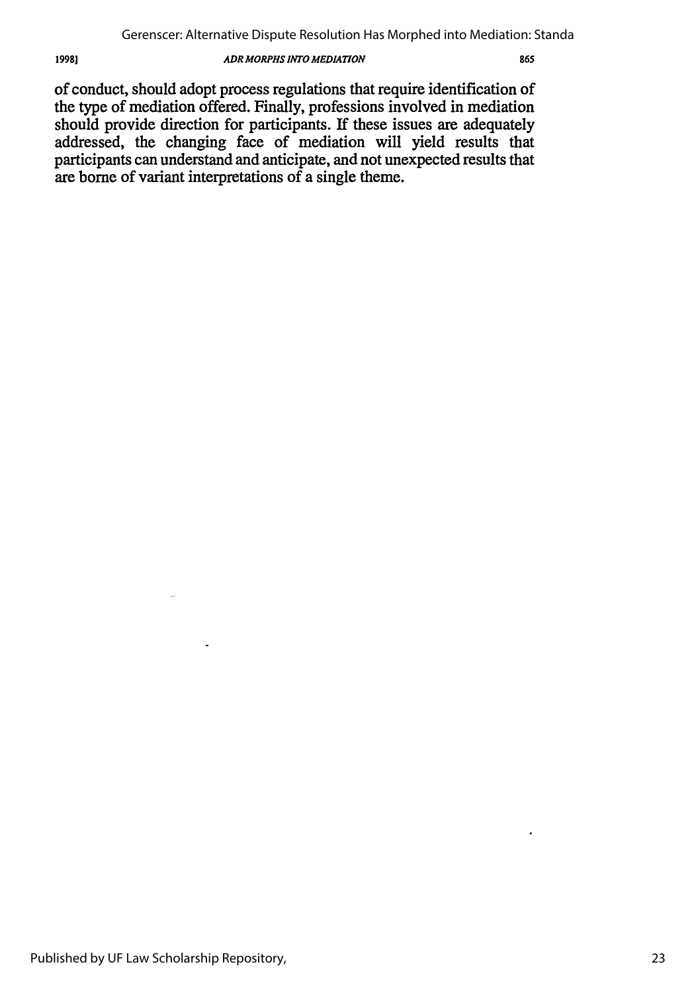of conduct, should adopt process regulations that require identification of the type of mediation offered. Finally, professions involved in mediation should provide direction for participants. **If** these issues are adequately addressed, the changing face of mediation will yield results that participants can understand and anticipate, and not unexpected results that are borne of variant interpretations of a single theme.